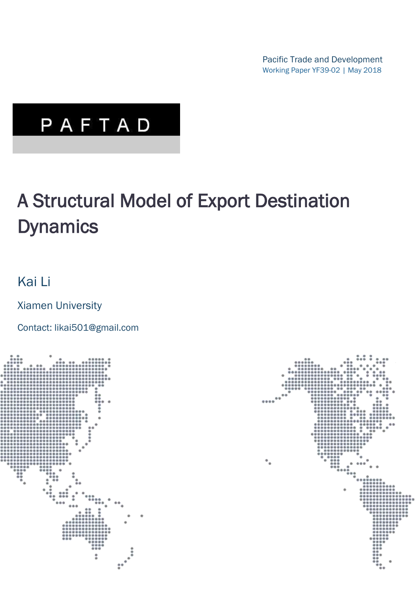Pacific Trade and Development Working Paper YF39-02 | May 2018

# PAFTAD

# A Structural Model of Export Destination **Dynamics**

# Kai Li

Xiamen University

Contact: likai501@gmail.com



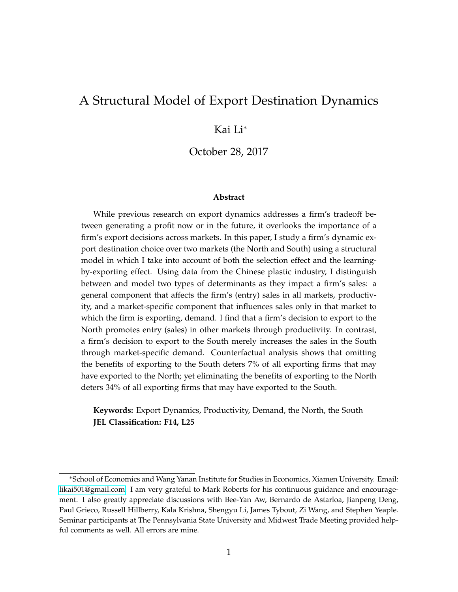# <span id="page-1-0"></span>A Structural Model of Export Destination Dynamics

#### Kai Li<sup>∗</sup>

October 28, 2017

#### **Abstract**

While previous research on export dynamics addresses a firm's tradeoff between generating a profit now or in the future, it overlooks the importance of a firm's export decisions across markets. In this paper, I study a firm's dynamic export destination choice over two markets (the North and South) using a structural model in which I take into account of both the selection effect and the learningby-exporting effect. Using data from the Chinese plastic industry, I distinguish between and model two types of determinants as they impact a firm's sales: a general component that affects the firm's (entry) sales in all markets, productivity, and a market-specific component that influences sales only in that market to which the firm is exporting, demand. I find that a firm's decision to export to the North promotes entry (sales) in other markets through productivity. In contrast, a firm's decision to export to the South merely increases the sales in the South through market-specific demand. Counterfactual analysis shows that omitting the benefits of exporting to the South deters 7% of all exporting firms that may have exported to the North; yet eliminating the benefits of exporting to the North deters 34% of all exporting firms that may have exported to the South.

**Keywords:** Export Dynamics, Productivity, Demand, the North, the South **JEL Classification: F14, L25**

<sup>∗</sup>School of Economics and Wang Yanan Institute for Studies in Economics, Xiamen University. Email: [likai501@gmail.com.](mailto:likai501@gmail.com) I am very grateful to Mark Roberts for his continuous guidance and encouragement. I also greatly appreciate discussions with Bee-Yan Aw, Bernardo de Astarloa, Jianpeng Deng, Paul Grieco, Russell Hillberry, Kala Krishna, Shengyu Li, James Tybout, Zi Wang, and Stephen Yeaple. Seminar participants at The Pennsylvania State University and Midwest Trade Meeting provided helpful comments as well. All errors are mine.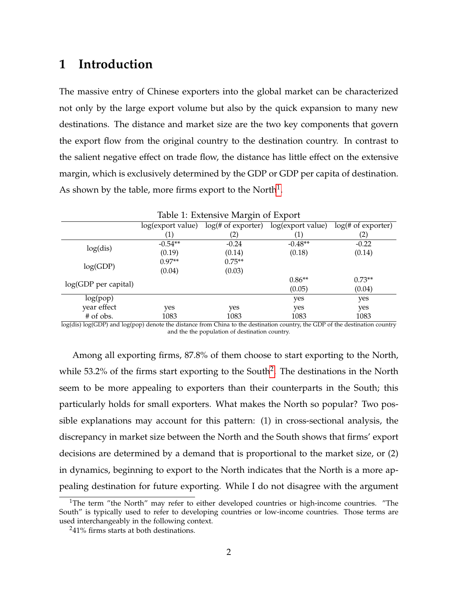## **1 Introduction**

The massive entry of Chinese exporters into the global market can be characterized not only by the large export volume but also by the quick expansion to many new destinations. The distance and market size are the two key components that govern the export flow from the original country to the destination country. In contrast to the salient negative effect on trade flow, the distance has little effect on the extensive margin, which is exclusively determined by the GDP or GDP per capita of destination. As shown by the table, more firms export to the North $^1$  $^1$ .

| Table 1: Extensive Margin of Export |                  |                                                               |           |                                |  |  |
|-------------------------------------|------------------|---------------------------------------------------------------|-----------|--------------------------------|--|--|
|                                     |                  | $log(export value)$ $log(f*$ of exporter) $log(export value)$ |           | $log(\text{\# of exponenter})$ |  |  |
|                                     | $\left(1\right)$ | (2)                                                           |           | (2)                            |  |  |
| log(dis)                            | $-0.54**$        | $-0.24$                                                       | $-0.48**$ | $-0.22$                        |  |  |
|                                     | (0.19)           | (0.14)                                                        | (0.18)    | (0.14)                         |  |  |
|                                     | $0.97**$         | $0.75**$                                                      |           |                                |  |  |
| log(GDP)                            | (0.04)           | (0.03)                                                        |           |                                |  |  |
|                                     |                  |                                                               | $0.86**$  | $0.73**$                       |  |  |
| log(GDP per capital)                |                  |                                                               | (0.05)    | (0.04)                         |  |  |
| log(pop)                            |                  |                                                               | yes       | yes                            |  |  |
| year effect                         | yes              | yes                                                           | yes       | yes                            |  |  |
| # of obs.                           | 1083             | 1083                                                          | 1083      | 1083                           |  |  |

log(dis) log(GDP) and log(pop) denote the distance from China to the destination country, the GDP of the destination country and the the population of destination country.

Among all exporting firms, 87.8% of them choose to start exporting to the North, while 53.[2](#page-1-0)% of the firms start exporting to the South<sup>2</sup>. The destinations in the North seem to be more appealing to exporters than their counterparts in the South; this particularly holds for small exporters. What makes the North so popular? Two possible explanations may account for this pattern: (1) in cross-sectional analysis, the discrepancy in market size between the North and the South shows that firms' export decisions are determined by a demand that is proportional to the market size, or (2) in dynamics, beginning to export to the North indicates that the North is a more appealing destination for future exporting. While I do not disagree with the argument

<sup>&</sup>lt;sup>1</sup>The term "the North" may refer to either developed countries or high-income countries. "The South" is typically used to refer to developing countries or low-income countries. Those terms are used interchangeably in the following context.

<sup>2</sup>41% firms starts at both destinations.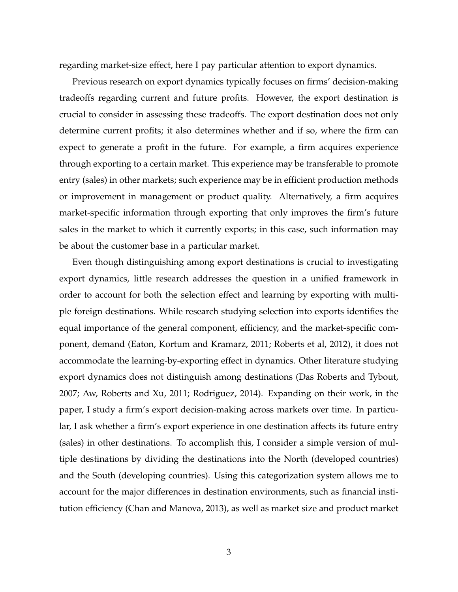regarding market-size effect, here I pay particular attention to export dynamics.

Previous research on export dynamics typically focuses on firms' decision-making tradeoffs regarding current and future profits. However, the export destination is crucial to consider in assessing these tradeoffs. The export destination does not only determine current profits; it also determines whether and if so, where the firm can expect to generate a profit in the future. For example, a firm acquires experience through exporting to a certain market. This experience may be transferable to promote entry (sales) in other markets; such experience may be in efficient production methods or improvement in management or product quality. Alternatively, a firm acquires market-specific information through exporting that only improves the firm's future sales in the market to which it currently exports; in this case, such information may be about the customer base in a particular market.

Even though distinguishing among export destinations is crucial to investigating export dynamics, little research addresses the question in a unified framework in order to account for both the selection effect and learning by exporting with multiple foreign destinations. While research studying selection into exports identifies the equal importance of the general component, efficiency, and the market-specific component, demand (Eaton, Kortum and Kramarz, 2011; Roberts et al, 2012), it does not accommodate the learning-by-exporting effect in dynamics. Other literature studying export dynamics does not distinguish among destinations (Das Roberts and Tybout, 2007; Aw, Roberts and Xu, 2011; Rodriguez, 2014). Expanding on their work, in the paper, I study a firm's export decision-making across markets over time. In particular, I ask whether a firm's export experience in one destination affects its future entry (sales) in other destinations. To accomplish this, I consider a simple version of multiple destinations by dividing the destinations into the North (developed countries) and the South (developing countries). Using this categorization system allows me to account for the major differences in destination environments, such as financial institution efficiency (Chan and Manova, 2013), as well as market size and product market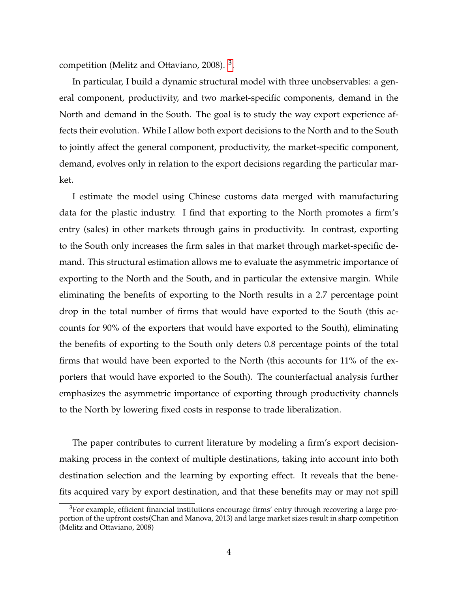competition (Melitz and Ottaviano, 2008).<sup>[3](#page-1-0)</sup>.

In particular, I build a dynamic structural model with three unobservables: a general component, productivity, and two market-specific components, demand in the North and demand in the South. The goal is to study the way export experience affects their evolution. While I allow both export decisions to the North and to the South to jointly affect the general component, productivity, the market-specific component, demand, evolves only in relation to the export decisions regarding the particular market.

I estimate the model using Chinese customs data merged with manufacturing data for the plastic industry. I find that exporting to the North promotes a firm's entry (sales) in other markets through gains in productivity. In contrast, exporting to the South only increases the firm sales in that market through market-specific demand. This structural estimation allows me to evaluate the asymmetric importance of exporting to the North and the South, and in particular the extensive margin. While eliminating the benefits of exporting to the North results in a 2.7 percentage point drop in the total number of firms that would have exported to the South (this accounts for 90% of the exporters that would have exported to the South), eliminating the benefits of exporting to the South only deters 0.8 percentage points of the total firms that would have been exported to the North (this accounts for 11% of the exporters that would have exported to the South). The counterfactual analysis further emphasizes the asymmetric importance of exporting through productivity channels to the North by lowering fixed costs in response to trade liberalization.

The paper contributes to current literature by modeling a firm's export decisionmaking process in the context of multiple destinations, taking into account into both destination selection and the learning by exporting effect. It reveals that the benefits acquired vary by export destination, and that these benefits may or may not spill

 $3$ For example, efficient financial institutions encourage firms' entry through recovering a large proportion of the upfront costs(Chan and Manova, 2013) and large market sizes result in sharp competition (Melitz and Ottaviano, 2008)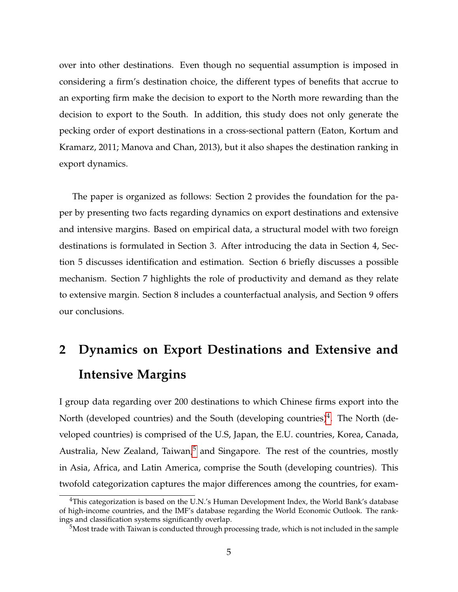over into other destinations. Even though no sequential assumption is imposed in considering a firm's destination choice, the different types of benefits that accrue to an exporting firm make the decision to export to the North more rewarding than the decision to export to the South. In addition, this study does not only generate the pecking order of export destinations in a cross-sectional pattern (Eaton, Kortum and Kramarz, 2011; Manova and Chan, 2013), but it also shapes the destination ranking in export dynamics.

The paper is organized as follows: Section 2 provides the foundation for the paper by presenting two facts regarding dynamics on export destinations and extensive and intensive margins. Based on empirical data, a structural model with two foreign destinations is formulated in Section 3. After introducing the data in Section 4, Section 5 discusses identification and estimation. Section 6 briefly discusses a possible mechanism. Section 7 highlights the role of productivity and demand as they relate to extensive margin. Section 8 includes a counterfactual analysis, and Section 9 offers our conclusions.

# **2 Dynamics on Export Destinations and Extensive and Intensive Margins**

I group data regarding over 200 destinations to which Chinese firms export into the North (developed countries) and the South (developing countries)<sup>[4](#page-1-0)</sup>. The North (developed countries) is comprised of the U.S, Japan, the E.U. countries, Korea, Canada, Australia, New Zealand, Taiwan, $<sup>5</sup>$  $<sup>5</sup>$  $<sup>5</sup>$  and Singapore. The rest of the countries, mostly</sup> in Asia, Africa, and Latin America, comprise the South (developing countries). This twofold categorization captures the major differences among the countries, for exam-

 $4$ This categorization is based on the U.N.'s Human Development Index, the World Bank's database of high-income countries, and the IMF's database regarding the World Economic Outlook. The rankings and classification systems significantly overlap.

 $5$ Most trade with Taiwan is conducted through processing trade, which is not included in the sample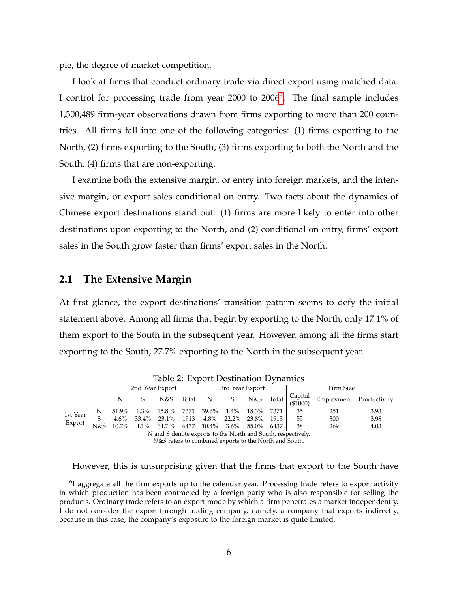ple, the degree of market competition.

I look at firms that conduct ordinary trade via direct export using matched data. I control for processing trade from year 2000 to 200[6](#page-1-0)<sup>6</sup>. The final sample includes 1,300,489 firm-year observations drawn from firms exporting to more than 200 countries. All firms fall into one of the following categories: (1) firms exporting to the North, (2) firms exporting to the South, (3) firms exporting to both the North and the South, (4) firms that are non-exporting.

I examine both the extensive margin, or entry into foreign markets, and the intensive margin, or export sales conditional on entry. Two facts about the dynamics of Chinese export destinations stand out: (1) firms are more likely to enter into other destinations upon exporting to the North, and (2) conditional on entry, firms' export sales in the South grow faster than firms' export sales in the North.

#### **2.1 The Extensive Margin**

At first glance, the export destinations' transition pattern seems to defy the initial statement above. Among all firms that begin by exporting to the North, only 17.1% of them export to the South in the subsequent year. However, among all the firms start exporting to the South, 27.7% exporting to the North in the subsequent year.

|          | 1990 – Длять Великист в попис |          |         |                                |       |          |         |                 |      |                     |           |                         |
|----------|-------------------------------|----------|---------|--------------------------------|-------|----------|---------|-----------------|------|---------------------|-----------|-------------------------|
|          |                               |          |         | 2nd Year Export                |       |          |         | 3rd Year Export |      |                     | Firm Size |                         |
|          |                               |          |         | N&S                            | Total | N        | S       | N&S Total       |      | Capital<br>(\$1000) |           | Employment Productivity |
| 1st Year |                               | 51.9%    |         | $1.3\%$ 15.8 % 7371 39.6% 1.4% |       |          |         | 18.3%           | 7371 | 35                  | 251       | 3.93                    |
| Export   |                               | $4.6\%$  | 33.4%   | 23.1%                          | 1913  | 4.8%     | 22.2%   | 23.8%           | 1913 | 55                  | 300       | 3.98                    |
|          | N&S                           | $10.7\%$ | $4.1\%$ | 64.7 %                         | 6437  | $10.4\%$ | $3.6\%$ | 55.0%           | 6437 | 38                  | 269       | 4.03                    |

Table 2: Export Destination Dynamics

*N* and *S* denote exports to the North and South, respectively. *N*&*S* refers to combined exports to the North and South.

However, this is unsurprising given that the firms that export to the South have

 ${}^{6}$ I aggregate all the firm exports up to the calendar year. Processing trade refers to export activity in which production has been contracted by a foreign party who is also responsible for selling the products. Ordinary trade refers to an export mode by which a firm penetrates a market independently. I do not consider the export-through-trading company, namely, a company that exports indirectly, because in this case, the company's exposure to the foreign market is quite limited.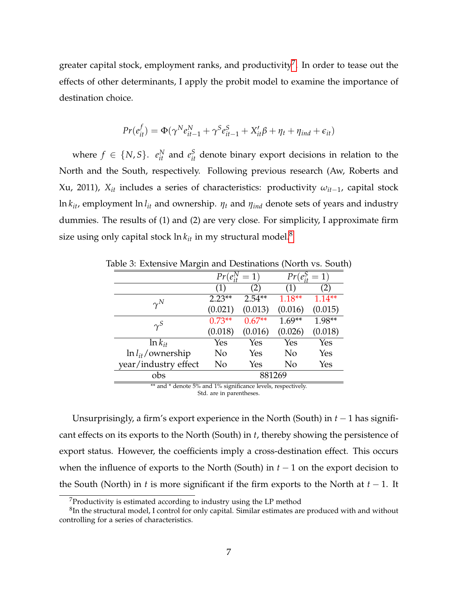greater capital stock, employment ranks, and productivity<sup>[7](#page-1-0)</sup>. In order to tease out the effects of other determinants, I apply the probit model to examine the importance of destination choice.

$$
Pr(e_{it}^f) = \Phi(\gamma^N e_{it-1}^N + \gamma^S e_{it-1}^S + X_{it}'\beta + \eta_t + \eta_{ind} + \epsilon_{it})
$$

where  $f \in \{N, S\}$ .  $e_{it}^N$  and  $e_{it}^S$  denote binary export decisions in relation to the North and the South, respectively. Following previous research (Aw, Roberts and Xu, 2011), *Xit* includes a series of characteristics: productivity *ωit*−<sup>1</sup> , capital stock ln  $k_{it}$ , employment ln  $l_{it}$  and ownership.  $\eta_t$  and  $\eta_{ind}$  denote sets of years and industry dummies. The results of (1) and (2) are very close. For simplicity, I approximate firm size using only capital stock  $\ln k_{it}$  in my structural model.<sup>[8](#page-1-0)</sup>

| Ō                       |                |          |          |                   |
|-------------------------|----------------|----------|----------|-------------------|
|                         |                | $=1$     |          |                   |
|                         | (1)            | (2)      | (1)      | $\left( 2\right)$ |
| $\gamma^N$              | $2.23**$       | $2.54**$ | $1.18**$ | $1.14**$          |
|                         | (0.021)        | (0.013)  | (0.016)  | (0.015)           |
| $\gamma^S$              | $0.73**$       | $0.67**$ | $1.69**$ | 1.98**            |
|                         | (0.018)        | (0.016)  | (0.026)  | (0.018)           |
| $\ln k_{it}$            | Yes            | Yes      | Yes      | Yes               |
| $\ln l_{it}/$ ownership | No             | Yes      | No       | Yes               |
| year/industry effect    | N <sub>o</sub> | Yes      | No       | Yes               |
| obs                     |                |          | 881269   |                   |

Table 3: Extensive Margin and Destinations (North vs. South)

\*\* and \* denote 5% and 1% significance levels, respectively. Std. are in parentheses.

Unsurprisingly, a firm's export experience in the North (South) in *t* − 1 has significant effects on its exports to the North (South) in *t*, thereby showing the persistence of export status. However, the coefficients imply a cross-destination effect. This occurs when the influence of exports to the North (South) in  $t - 1$  on the export decision to the South (North) in *t* is more significant if the firm exports to the North at *t* − 1. It

 $7$ Productivity is estimated according to industry using the LP method

 ${}^{8}$ In the structural model, I control for only capital. Similar estimates are produced with and without controlling for a series of characteristics.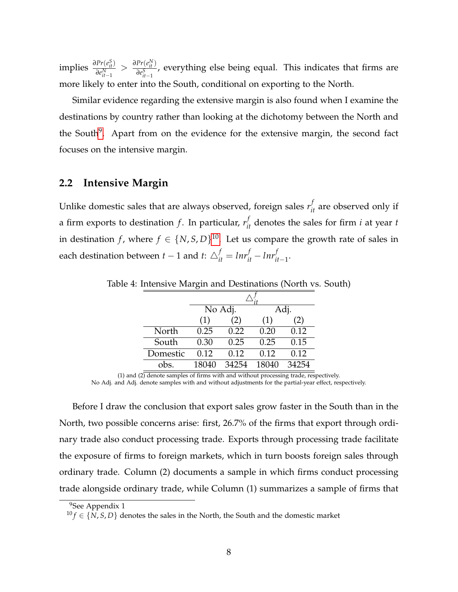$\frac{\partial Pr(e_{it}^S)}{\partial q^N}$ *∂e N it*−1  $> \frac{\partial Pr(e_{it}^N)}{\partial e_{it}^S}$  $\frac{d}{dt}$ *o* $\frac{d}{dt}$ , everything else being equal. This indicates that firms are more likely to enter into the South, conditional on exporting to the North.

Similar evidence regarding the extensive margin is also found when I examine the destinations by country rather than looking at the dichotomy between the North and the South<sup>[9](#page-1-0)</sup>. Apart from on the evidence for the extensive margin, the second fact focuses on the intensive margin.

#### **2.2 Intensive Margin**

Unlike domestic sales that are always observed, foreign sales  $r_{it}^f$  are observed only if a firm exports to destination  $f$ . In particular,  $r_{it}^f$  denotes the sales for firm *i* at year  $t$ in destination *f*, where  $f \in \{N, S, D\}^{10}$  $f \in \{N, S, D\}^{10}$  $f \in \{N, S, D\}^{10}$ . Let us compare the growth rate of sales in each destination between  $t - 1$  and  $t$ :  $\triangle_{it}^f = ln r_{it}^f - ln r_{it-1}^f$ .

|          |       | No Adj. |       | Adj.  |  |  |
|----------|-------|---------|-------|-------|--|--|
|          | (1)   | (2)     | (1)   | (2)   |  |  |
| North    | 0.25  | 0.22    | 0.20  | 0.12  |  |  |
| South    | 0.30  | 0.25    | 0.25  | 0.15  |  |  |
| Domestic | 0.12  | 0.12    | 0.12  | 0.12  |  |  |
| obs.     | 18040 | 34254   | 18040 | 34254 |  |  |

Table 4: Intensive Margin and Destinations (North vs. South)

(1) and  $(2)$  denote samples of firms with and without processing trade, respectively. No Adj. and Adj. denote samples with and without adjustments for the partial-year effect, respectively.

Before I draw the conclusion that export sales grow faster in the South than in the North, two possible concerns arise: first, 26.7% of the firms that export through ordinary trade also conduct processing trade. Exports through processing trade facilitate the exposure of firms to foreign markets, which in turn boosts foreign sales through ordinary trade. Column (2) documents a sample in which firms conduct processing trade alongside ordinary trade, while Column (1) summarizes a sample of firms that

<sup>&</sup>lt;sup>9</sup>See Appendix 1

 $10 f \in \{N, S, D\}$  denotes the sales in the North, the South and the domestic market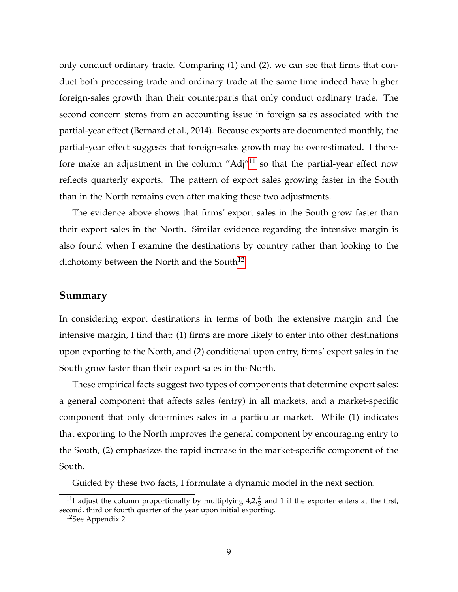only conduct ordinary trade. Comparing (1) and (2), we can see that firms that conduct both processing trade and ordinary trade at the same time indeed have higher foreign-sales growth than their counterparts that only conduct ordinary trade. The second concern stems from an accounting issue in foreign sales associated with the partial-year effect (Bernard et al., 2014). Because exports are documented monthly, the partial-year effect suggests that foreign-sales growth may be overestimated. I therefore make an adjustment in the column "Adj" $11$  so that the partial-year effect now reflects quarterly exports. The pattern of export sales growing faster in the South than in the North remains even after making these two adjustments.

The evidence above shows that firms' export sales in the South grow faster than their export sales in the North. Similar evidence regarding the intensive margin is also found when I examine the destinations by country rather than looking to the dichotomy between the North and the South<sup>[12](#page-1-0)</sup>.

#### **Summary**

In considering export destinations in terms of both the extensive margin and the intensive margin, I find that: (1) firms are more likely to enter into other destinations upon exporting to the North, and (2) conditional upon entry, firms' export sales in the South grow faster than their export sales in the North.

These empirical facts suggest two types of components that determine export sales: a general component that affects sales (entry) in all markets, and a market-specific component that only determines sales in a particular market. While (1) indicates that exporting to the North improves the general component by encouraging entry to the South, (2) emphasizes the rapid increase in the market-specific component of the South.

Guided by these two facts, I formulate a dynamic model in the next section.

<sup>&</sup>lt;sup>11</sup>I adjust the column proportionally by multiplying  $4.2, \frac{4}{3}$  and 1 if the exporter enters at the first, second, third or fourth quarter of the year upon initial exporting.

<sup>12</sup>See Appendix 2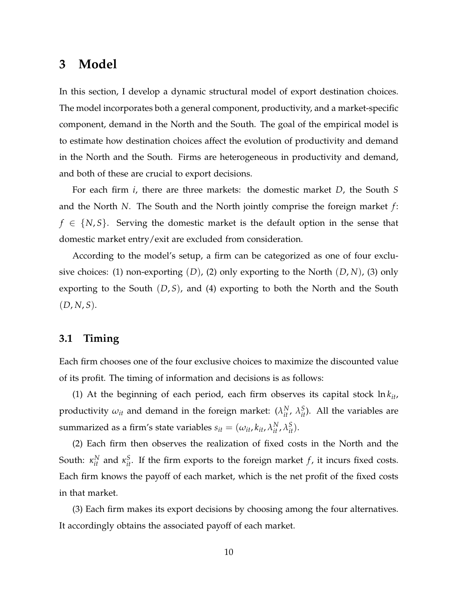## **3 Model**

In this section, I develop a dynamic structural model of export destination choices. The model incorporates both a general component, productivity, and a market-specific component, demand in the North and the South. The goal of the empirical model is to estimate how destination choices affect the evolution of productivity and demand in the North and the South. Firms are heterogeneous in productivity and demand, and both of these are crucial to export decisions.

For each firm *i*, there are three markets: the domestic market *D*, the South *S* and the North *N*. The South and the North jointly comprise the foreign market *f* :  $f \in \{N, S\}$ . Serving the domestic market is the default option in the sense that domestic market entry/exit are excluded from consideration.

According to the model's setup, a firm can be categorized as one of four exclusive choices: (1) non-exporting (*D*), (2) only exporting to the North (*D*, *N*), (3) only exporting to the South (*D*, *S*), and (4) exporting to both the North and the South  $(D, N, S)$ .

#### **3.1 Timing**

Each firm chooses one of the four exclusive choices to maximize the discounted value of its profit. The timing of information and decisions is as follows:

(1) At the beginning of each period, each firm observes its capital stock ln *kit*, productivity  $\omega_{it}$  and demand in the foreign market:  $(\lambda_{it}^N, \lambda_{it}^S)$ . All the variables are summarized as a firm's state variables  $s_{it} = (\omega_{it}, k_{it}, \lambda_{it}^N, \lambda_{it}^S)$ .

(2) Each firm then observes the realization of fixed costs in the North and the South:  $\kappa_{it}^N$  and  $\kappa_{it}^S$ . If the firm exports to the foreign market *f*, it incurs fixed costs. Each firm knows the payoff of each market, which is the net profit of the fixed costs in that market.

(3) Each firm makes its export decisions by choosing among the four alternatives. It accordingly obtains the associated payoff of each market.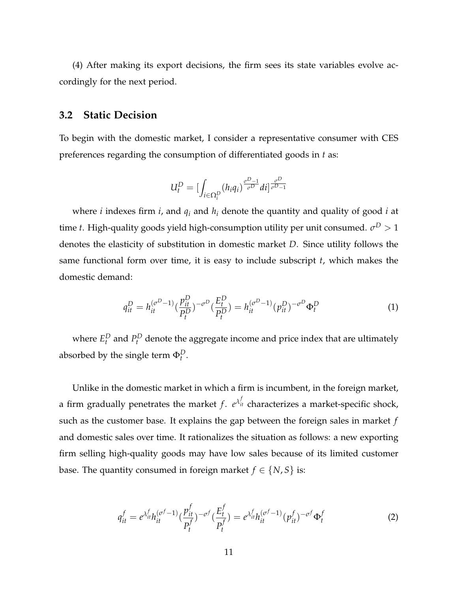(4) After making its export decisions, the firm sees its state variables evolve accordingly for the next period.

#### **3.2 Static Decision**

To begin with the domestic market, I consider a representative consumer with CES preferences regarding the consumption of differentiated goods in *t* as:

$$
U_t^D = \left[\int_{i \in \Omega_t^D} (h_i q_i)^{\frac{\sigma^D - 1}{\sigma^D}} di \right]^{\frac{\sigma^D}{\sigma^D - 1}}
$$

where *i* indexes firm *i*, and *q<sup>i</sup>* and *h<sup>i</sup>* denote the quantity and quality of good *i* at time *t*. High-quality goods yield high-consumption utility per unit consumed. *σ <sup>D</sup>* > 1 denotes the elasticity of substitution in domestic market *D*. Since utility follows the same functional form over time, it is easy to include subscript *t*, which makes the domestic demand:

$$
q_{it}^D = h_{it}^{(\sigma^D - 1)} \left( \frac{p_{it}^D}{p_t^D} \right)^{-\sigma^D} \left( \frac{E_t^D}{p_t^D} \right) = h_{it}^{(\sigma^D - 1)} \left( p_{it}^D \right)^{-\sigma^D} \Phi_t^D \tag{1}
$$

where  $E_t^D$  and  $P_t^D$  denote the aggregate income and price index that are ultimately absorbed by the single term  $\Phi_t^D$ .

Unlike in the domestic market in which a firm is incumbent, in the foreign market, a firm gradually penetrates the market *f* . *e λ f it* characterizes a market-specific shock, such as the customer base. It explains the gap between the foreign sales in market *f* and domestic sales over time. It rationalizes the situation as follows: a new exporting firm selling high-quality goods may have low sales because of its limited customer base. The quantity consumed in foreign market  $f \in \{N, S\}$  is:

$$
q_{it}^f = e^{\lambda_{it}^f} h_{it}^{(\sigma^f - 1)}(\frac{p_{it}^f}{p_t^f})^{-\sigma^f}(\frac{E_t^f}{p_t^f}) = e^{\lambda_{it}^f} h_{it}^{(\sigma^f - 1)}(p_{it}^f)^{-\sigma^f} \Phi_t^f
$$
(2)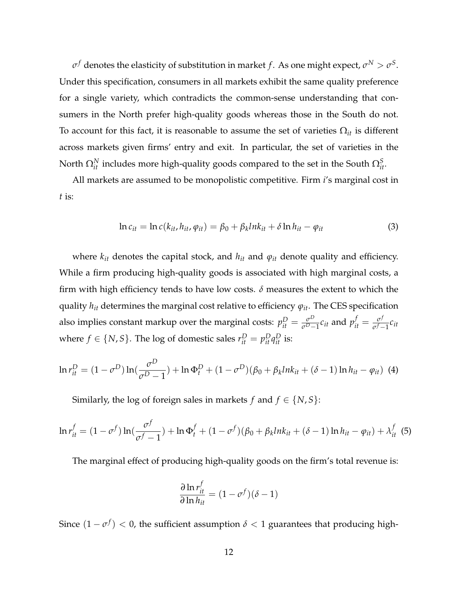$\sigma^f$  denotes the elasticity of substitution in market  $f$ . As one might expect,  $\sigma^N > \sigma^S.$ Under this specification, consumers in all markets exhibit the same quality preference for a single variety, which contradicts the common-sense understanding that consumers in the North prefer high-quality goods whereas those in the South do not. To account for this fact, it is reasonable to assume the set of varieties  $\Omega_{it}$  is different across markets given firms' entry and exit. In particular, the set of varieties in the North  $\Omega_{it}^N$  includes more high-quality goods compared to the set in the South  $\Omega_{it}^S.$ 

All markets are assumed to be monopolistic competitive. Firm *i*'s marginal cost in *t* is:

$$
\ln c_{it} = \ln c(k_{it}, h_{it}, \varphi_{it}) = \beta_0 + \beta_k ln k_{it} + \delta \ln h_{it} - \varphi_{it}
$$
\n(3)

where  $k_{it}$  denotes the capital stock, and  $h_{it}$  and  $\varphi_{it}$  denote quality and efficiency. While a firm producing high-quality goods is associated with high marginal costs, a firm with high efficiency tends to have low costs.  $\delta$  measures the extent to which the quality *hit* determines the marginal cost relative to efficiency *ϕit*. The CES specification also implies constant markup over the marginal costs:  $p_{it}^D = \frac{\sigma^D}{\sigma^D - \sigma^D}$  $\frac{\sigma^D}{\sigma^D - 1} c_{it}$  and  $p_{it}^f = \frac{\sigma^f}{\sigma^f - 1}$  $\frac{\sigma}{\sigma}$ *f* −1</sub>*c*<sub>*it*</sub> where  $f \in \{N, S\}$ . The log of domestic sales  $r_{it}^D = p_{it}^D q_{it}^D$  is:

$$
\ln r_{it}^D = (1 - \sigma^D) \ln(\frac{\sigma^D}{\sigma^D - 1}) + \ln \Phi_t^D + (1 - \sigma^D) (\beta_0 + \beta_k ln k_{it} + (\delta - 1) \ln h_{it} - \varphi_{it})
$$
 (4)

Similarly, the log of foreign sales in markets *f* and *f*  $\in$  {*N*, *S*}:

$$
\ln r_{it}^f = (1 - \sigma^f) \ln(\frac{\sigma^f}{\sigma^f - 1}) + \ln \Phi_t^f + (1 - \sigma^f)(\beta_0 + \beta_k ln k_{it} + (\delta - 1) \ln h_{it} - \varphi_{it}) + \lambda_{it}^f
$$
 (5)

The marginal effect of producing high-quality goods on the firm's total revenue is:

$$
\frac{\partial \ln r_{it}^f}{\partial \ln h_{it}} = (1 - \sigma^f)(\delta - 1)
$$

Since  $(1 - \sigma^f) < 0$ , the sufficient assumption  $\delta < 1$  guarantees that producing high-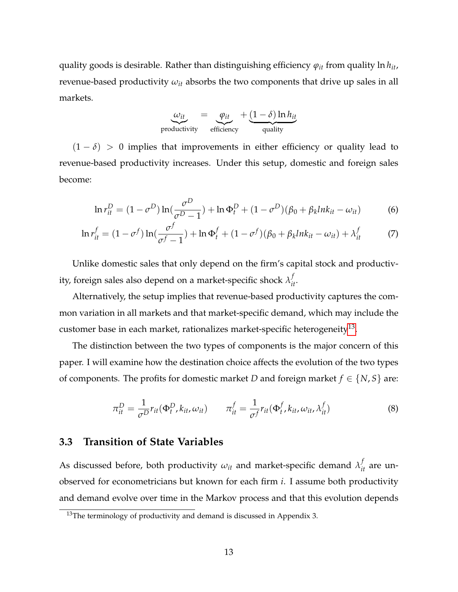quality goods is desirable. Rather than distinguishing efficiency *ϕit* from quality ln *hit*, revenue-based productivity *ωit* absorbs the two components that drive up sales in all markets.

$$
\omega_{it} = \underbrace{\varphi_{it}}_{\text{efficiency}} + \underbrace{(1-\delta)\ln h_{it}}_{\text{quality}}
$$

 $(1 - \delta) > 0$  implies that improvements in either efficiency or quality lead to revenue-based productivity increases. Under this setup, domestic and foreign sales become:

$$
\ln r_{it}^D = (1 - \sigma^D) \ln(\frac{\sigma^D}{\sigma^D - 1}) + \ln \Phi_t^D + (1 - \sigma^D)(\beta_0 + \beta_k ln k_{it} - \omega_{it})
$$
 (6)

$$
\ln r_{it}^f = (1 - \sigma^f) \ln(\frac{\sigma^f}{\sigma^f - 1}) + \ln \Phi_t^f + (1 - \sigma^f)(\beta_0 + \beta_k \ln k_{it} - \omega_{it}) + \lambda_{it}^f \tag{7}
$$

Unlike domestic sales that only depend on the firm's capital stock and productivity, foreign sales also depend on a market-specific shock  $\lambda_{it}^f$ .

Alternatively, the setup implies that revenue-based productivity captures the common variation in all markets and that market-specific demand, which may include the customer base in each market, rationalizes market-specific heterogeneity $^{13}$  $^{13}$  $^{13}$ .

The distinction between the two types of components is the major concern of this paper. I will examine how the destination choice affects the evolution of the two types of components. The profits for domestic market *D* and foreign market  $f \in \{N, S\}$  are:

$$
\pi_{it}^D = \frac{1}{\sigma^D} r_{it}(\Phi_t^D, k_{it}, \omega_{it}) \qquad \pi_{it}^f = \frac{1}{\sigma^f} r_{it}(\Phi_t^f, k_{it}, \omega_{it}, \lambda_{it}^f)
$$
(8)

#### **3.3 Transition of State Variables**

As discussed before, both productivity  $\omega_{it}$  and market-specific demand  $\lambda_{it}^f$  are unobserved for econometricians but known for each firm *i*. I assume both productivity and demand evolve over time in the Markov process and that this evolution depends

 $13$ The terminology of productivity and demand is discussed in Appendix 3.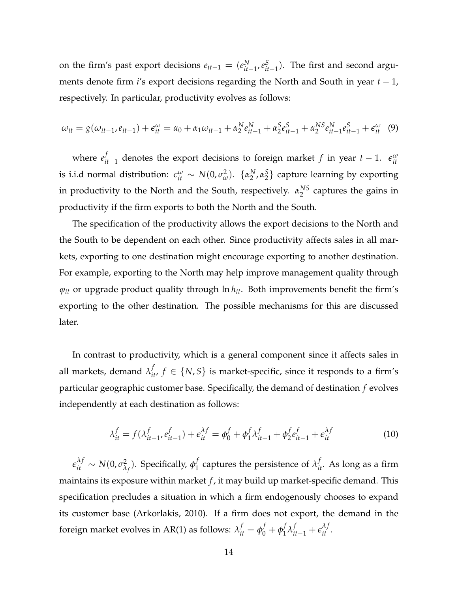on the firm's past export decisions  $e_{it-1} = (e_{it-1}^N, e_{it-1}^S)$ . The first and second arguments denote firm *i*'s export decisions regarding the North and South in year *t* − 1, respectively. In particular, productivity evolves as follows:

$$
\omega_{it} = g(\omega_{it-1}, e_{it-1}) + \epsilon_{it}^{\omega} = \alpha_0 + \alpha_1 \omega_{it-1} + \alpha_2^N e_{it-1}^N + \alpha_2^S \epsilon_{it-1}^S + \alpha_2^{NS} e_{it-1}^N e_{it-1}^S + \epsilon_{it}^{\omega} \quad (9)
$$

where  $e^f_{ij}$ *i*<sub>t−1</sub> denotes the export decisions to foreign market *f* in year *t* − 1.  $\epsilon_{it}^{\omega}$ is i.i.d normal distribution:  $\epsilon_{it}^{\omega} \sim N(0, \sigma_{\omega}^2)$ .  $\{\alpha_2^N\}$ 2 , *α S*  $_{2}^{S}$ } capture learning by exporting in productivity to the North and the South, respectively.  $\alpha_2^{NS}$  $_2^{NS}$  captures the gains in productivity if the firm exports to both the North and the South.

The specification of the productivity allows the export decisions to the North and the South to be dependent on each other. Since productivity affects sales in all markets, exporting to one destination might encourage exporting to another destination. For example, exporting to the North may help improve management quality through *ϕit* or upgrade product quality through ln *hit*. Both improvements benefit the firm's exporting to the other destination. The possible mechanisms for this are discussed later.

In contrast to productivity, which is a general component since it affects sales in all markets, demand  $\lambda_{it'}^f$ ,  $f \in \{N,S\}$  is market-specific, since it responds to a firm's particular geographic customer base. Specifically, the demand of destination *f* evolves independently at each destination as follows:

$$
\lambda_{it}^f = f(\lambda_{it-1}^f, e_{it-1}^f) + \epsilon_{it}^{\lambda f} = \phi_0^f + \phi_1^f \lambda_{it-1}^f + \phi_2^f e_{it-1}^f + \epsilon_{it}^{\lambda f}
$$
(10)

 $\epsilon_{it}^{\lambda f} \sim N(0, \sigma_{\lambda}^2)$ *λf* ). Specifically, *φ f*  $\int_1^f$  captures the persistence of  $\lambda_{it}^f$ . As long as a firm maintains its exposure within market  $f$ , it may build up market-specific demand. This specification precludes a situation in which a firm endogenously chooses to expand its customer base (Arkorlakis, 2010). If a firm does not export, the demand in the foreign market evolves in AR(1) as follows:  $\lambda_{it}^f = \phi_0^f + \phi_1^f$  $\int_{1}^{f} \lambda_{it-1}^{f} + \epsilon_{it}^{\lambda f}$ .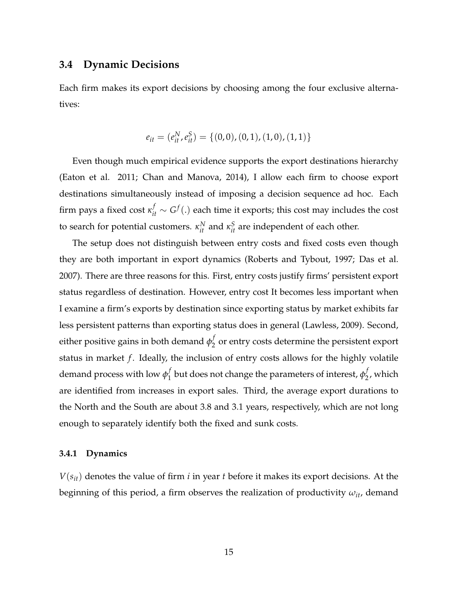#### **3.4 Dynamic Decisions**

Each firm makes its export decisions by choosing among the four exclusive alternatives:

$$
e_{it} = (e_{it}^N, e_{it}^S) = \{(0,0), (0,1), (1,0), (1,1)\}
$$

Even though much empirical evidence supports the export destinations hierarchy (Eaton et al. 2011; Chan and Manova, 2014), I allow each firm to choose export destinations simultaneously instead of imposing a decision sequence ad hoc. Each firm pays a fixed cost  $\kappa_{it}^f \sim G^f(.)$  each time it exports; this cost may includes the cost to search for potential customers.  $\kappa_{it}^N$  and  $\kappa_{it}^S$  are independent of each other.

The setup does not distinguish between entry costs and fixed costs even though they are both important in export dynamics (Roberts and Tybout, 1997; Das et al. 2007). There are three reasons for this. First, entry costs justify firms' persistent export status regardless of destination. However, entry cost It becomes less important when I examine a firm's exports by destination since exporting status by market exhibits far less persistent patterns than exporting status does in general (Lawless, 2009). Second, either positive gains in both demand  $\phi_2^f$  $\frac{1}{2}$  or entry costs determine the persistent export status in market  $f$ . Ideally, the inclusion of entry costs allows for the highly volatile demand process with low *φ f*  $\frac{f}{1}$  but does not change the parameters of interest,  $\phi_2^f$  $\frac{1}{2}$ , which are identified from increases in export sales. Third, the average export durations to the North and the South are about 3.8 and 3.1 years, respectively, which are not long enough to separately identify both the fixed and sunk costs.

#### **3.4.1 Dynamics**

*V*(*sit*) denotes the value of firm *i* in year *t* before it makes its export decisions. At the beginning of this period, a firm observes the realization of productivity *ωit*, demand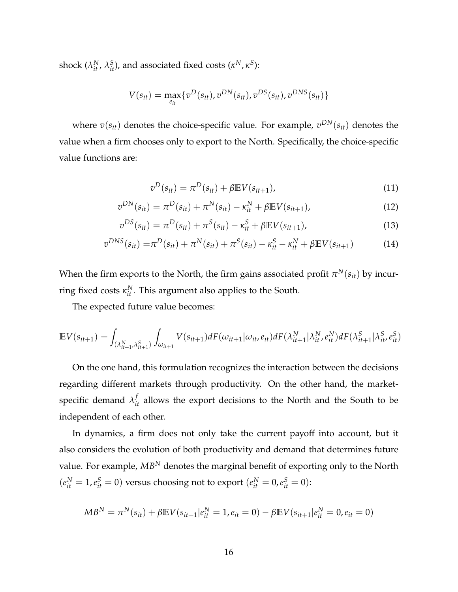shock  $(\lambda_{it}^N, \lambda_{it}^S)$ , and associated fixed costs  $(\kappa^N, \kappa^S)$ :

$$
V(s_{it}) = \max_{e_{it}} \{v^D(s_{it}), v^{DN}(s_{it}), v^{DS}(s_{it}), v^{DNS}(s_{it})\}
$$

where  $v(s_{it})$  denotes the choice-specific value. For example,  $v^{DN}(s_{it})$  denotes the value when a firm chooses only to export to the North. Specifically, the choice-specific value functions are:

$$
v^{D}(s_{it}) = \pi^{D}(s_{it}) + \beta \mathbb{E} V(s_{it+1}),
$$
\n(11)

$$
v^{DN}(s_{it}) = \pi^D(s_{it}) + \pi^N(s_{it}) - \kappa_{it}^N + \beta \mathbb{E} V(s_{it+1}),
$$
\n(12)

$$
v^{DS}(s_{it}) = \pi^{D}(s_{it}) + \pi^{S}(s_{it}) - \kappa_{it}^{S} + \beta \mathbb{E} V(s_{it+1}),
$$
\n(13)

$$
v^{DNS}(s_{it}) = \pi^D(s_{it}) + \pi^N(s_{it}) + \pi^S(s_{it}) - \kappa_{it}^S - \kappa_{it}^N + \beta \mathbb{E} V(s_{it+1})
$$
(14)

When the firm exports to the North, the firm gains associated profit  $\pi^N(s_{it})$  by incurring fixed costs  $\kappa_{it}^N$ . This argument also applies to the South.

The expected future value becomes:

$$
\mathbb{E}V(s_{it+1}) = \int_{(\lambda_{it+1}^N, \lambda_{it+1}^S)} \int_{\omega_{it+1}} V(s_{it+1}) dF(\omega_{it+1}|\omega_{it}, e_{it}) dF(\lambda_{it+1}^N | \lambda_{it}^N, e_{it}^N) dF(\lambda_{it+1}^S | \lambda_{it}^S, e_{it}^S)
$$

On the one hand, this formulation recognizes the interaction between the decisions regarding different markets through productivity. On the other hand, the marketspecific demand  $\lambda_{it}^f$  allows the export decisions to the North and the South to be independent of each other.

In dynamics, a firm does not only take the current payoff into account, but it also considers the evolution of both productivity and demand that determines future value. For example, *MB<sup>N</sup>* denotes the marginal benefit of exporting only to the North  $(e_{it}^N = 1, e_{it}^S = 0)$  versus choosing not to export  $(e_{it}^N = 0, e_{it}^S = 0)$ :

$$
MB^N = \pi^N(s_{it}) + \beta \mathbb{E} V(s_{it+1}|e_{it}^N = 1, e_{it} = 0) - \beta \mathbb{E} V(s_{it+1}|e_{it}^N = 0, e_{it} = 0)
$$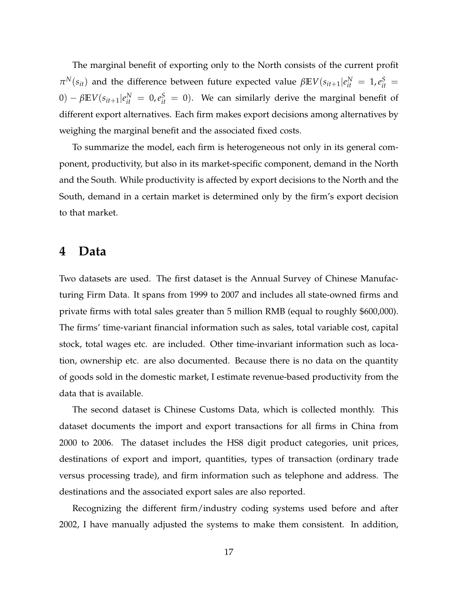The marginal benefit of exporting only to the North consists of the current profit *π*<sup>*N*</sup>(*s<sub>it</sub>*) and the difference between future expected value *β***E***V*(*s*<sub>*it*+1</sub>|*e*<sup>*N*</sup><sub>*it*</sub> = 1,*e*<sup>*S*</sup><sub>*it*</sub> =  $(0) - \beta \mathbb{E} V(s_{it+1}|e^{N}_{it} = 0, e^{S}_{it} = 0)$ . We can similarly derive the marginal benefit of different export alternatives. Each firm makes export decisions among alternatives by weighing the marginal benefit and the associated fixed costs.

To summarize the model, each firm is heterogeneous not only in its general component, productivity, but also in its market-specific component, demand in the North and the South. While productivity is affected by export decisions to the North and the South, demand in a certain market is determined only by the firm's export decision to that market.

#### **4 Data**

Two datasets are used. The first dataset is the Annual Survey of Chinese Manufacturing Firm Data. It spans from 1999 to 2007 and includes all state-owned firms and private firms with total sales greater than 5 million RMB (equal to roughly \$600,000). The firms' time-variant financial information such as sales, total variable cost, capital stock, total wages etc. are included. Other time-invariant information such as location, ownership etc. are also documented. Because there is no data on the quantity of goods sold in the domestic market, I estimate revenue-based productivity from the data that is available.

The second dataset is Chinese Customs Data, which is collected monthly. This dataset documents the import and export transactions for all firms in China from 2000 to 2006. The dataset includes the HS8 digit product categories, unit prices, destinations of export and import, quantities, types of transaction (ordinary trade versus processing trade), and firm information such as telephone and address. The destinations and the associated export sales are also reported.

Recognizing the different firm/industry coding systems used before and after 2002, I have manually adjusted the systems to make them consistent. In addition,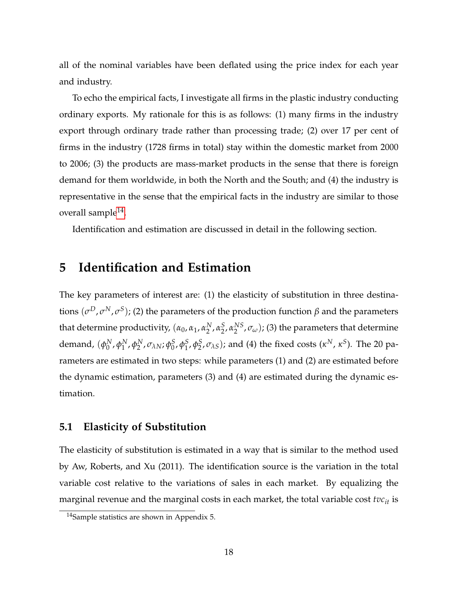all of the nominal variables have been deflated using the price index for each year and industry.

To echo the empirical facts, I investigate all firms in the plastic industry conducting ordinary exports. My rationale for this is as follows: (1) many firms in the industry export through ordinary trade rather than processing trade; (2) over 17 per cent of firms in the industry (1728 firms in total) stay within the domestic market from 2000 to 2006; (3) the products are mass-market products in the sense that there is foreign demand for them worldwide, in both the North and the South; and (4) the industry is representative in the sense that the empirical facts in the industry are similar to those overall sample<sup>[14](#page-1-0)</sup>.

Identification and estimation are discussed in detail in the following section.

### **5 Identification and Estimation**

The key parameters of interest are: (1) the elasticity of substitution in three destinations  $(\sigma^D, \sigma^N, \sigma^S)$ ; (2) the parameters of the production function *β* and the parameters that determine productivity,  $(\alpha_0, \alpha_1, \alpha_2^N)$ 2 , *α S* 2 , *α NS*  $_{2}^{NS}, \sigma_{\omega}$ ); (3) the parameters that determine demand,  $(\phi^N_0)$  $_0^N$ ,  $\phi_1^N$  $_1^N$ ,  $\phi_2^N$  $\frac{N}{2}$ , σ<sub>λ</sub><sub>N</sub>; φ<sup>S</sup><sub>0</sub>  $\frac{S}{0}$ ,  $\phi_1^S$  $\frac{S}{1}$ , φ $\frac{S}{2}$  $(S_2, σ<sub>λS</sub>)$ ; and (4) the fixed costs ( $κ<sup>N</sup>$ ,  $κ<sup>S</sup>$ ). The 20 parameters are estimated in two steps: while parameters (1) and (2) are estimated before the dynamic estimation, parameters (3) and (4) are estimated during the dynamic estimation.

#### **5.1 Elasticity of Substitution**

The elasticity of substitution is estimated in a way that is similar to the method used by Aw, Roberts, and Xu (2011). The identification source is the variation in the total variable cost relative to the variations of sales in each market. By equalizing the marginal revenue and the marginal costs in each market, the total variable cost *tvcit* is

<sup>&</sup>lt;sup>14</sup>Sample statistics are shown in Appendix 5.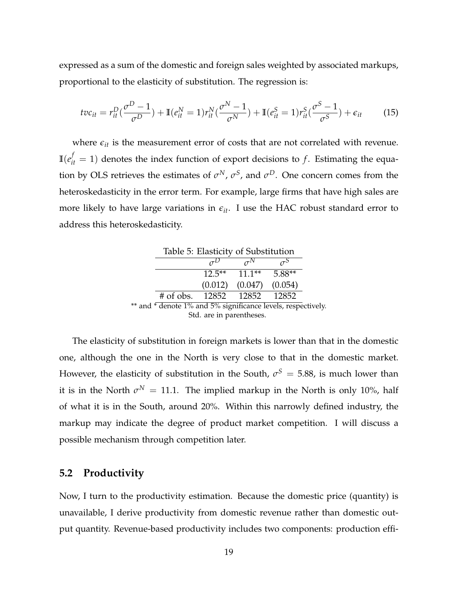expressed as a sum of the domestic and foreign sales weighted by associated markups, proportional to the elasticity of substitution. The regression is:

$$
tvc_{it} = r_{it}^{D}(\frac{\sigma^{D}-1}{\sigma^{D}}) + \mathbb{I}(e_{it}^{N}=1)r_{it}^{N}(\frac{\sigma^{N}-1}{\sigma^{N}}) + \mathbb{I}(e_{it}^{S}=1)r_{it}^{S}(\frac{\sigma^{S}-1}{\sigma^{S}}) + \epsilon_{it}
$$
(15)

where  $\varepsilon_{it}$  is the measurement error of costs that are not correlated with revenue.  $\mathbb{I}(e_{it}^f=1)$  denotes the index function of export decisions to  $f$ . Estimating the equation by OLS retrieves the estimates of  $\sigma^N$ ,  $\sigma^S$ , and  $\sigma^D$ . One concern comes from the heteroskedasticity in the error term. For example, large firms that have high sales are more likely to have large variations in  $\epsilon_{it}$ . I use the HAC robust standard error to address this heteroskedasticity.

|                                                              | Table 5: Elasticity of Substitution |                                |  |
|--------------------------------------------------------------|-------------------------------------|--------------------------------|--|
|                                                              |                                     | $\sigma^{N}$                   |  |
|                                                              |                                     | $12.5^{**}$ $11.1^{**}$ 5.88** |  |
|                                                              |                                     | $(0.012)$ $(0.047)$ $(0.054)$  |  |
|                                                              | # of obs. 12852 12852 12852         |                                |  |
| ** and * denote 1% and 5% significance levels, respectively. | $\sim$ 1 $\sim$ 1 $\sim$            |                                |  |

Std. are in parentheses.

The elasticity of substitution in foreign markets is lower than that in the domestic one, although the one in the North is very close to that in the domestic market. However, the elasticity of substitution in the South,  $\sigma^S\,=\,5.88$ , is much lower than it is in the North  $\sigma^N\,=\,11.1.$  The implied markup in the North is only 10%, half of what it is in the South, around 20%. Within this narrowly defined industry, the markup may indicate the degree of product market competition. I will discuss a possible mechanism through competition later.

#### **5.2 Productivity**

Now, I turn to the productivity estimation. Because the domestic price (quantity) is unavailable, I derive productivity from domestic revenue rather than domestic output quantity. Revenue-based productivity includes two components: production effi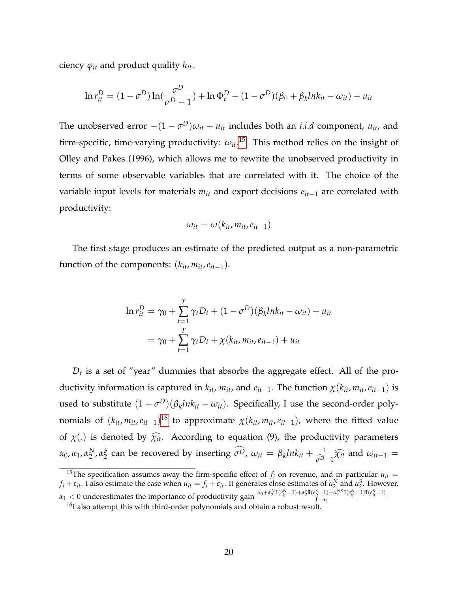ciency  $\varphi_{it}$  and product quality  $h_{it}$ .

$$
\ln r_{it}^D = (1 - \sigma^D) \ln(\frac{\sigma^D}{\sigma^D - 1}) + \ln \Phi_t^D + (1 - \sigma^D)(\beta_0 + \beta_k \ln k_{it} - \omega_{it}) + u_{it}
$$

The unobserved error  $-(1 - \sigma^D)\omega_{it} + u_{it}$  includes both an *i.i.d* component,  $u_{it}$ , and firm-specific, time-varying productivity:  $\omega_{it}$ .<sup>[15](#page-1-0)</sup>. This method relies on the insight of Olley and Pakes (1996), which allows me to rewrite the unobserved productivity in terms of some observable variables that are correlated with it. The choice of the variable input levels for materials *mit* and export decisions *eit*−<sup>1</sup> are correlated with productivity:

$$
\omega_{it} = \omega(k_{it}, m_{it}, e_{it-1})
$$

The first stage produces an estimate of the predicted output as a non-parametric function of the components:  $(k_{it}, m_{it}, e_{it-1})$ .

$$
\ln r_{it}^D = \gamma_0 + \sum_{t=1}^T \gamma_t D_t + (1 - \sigma^D)(\beta_k ln k_{it} - \omega_{it}) + u_{it}
$$
  
=  $\gamma_0 + \sum_{t=1}^T \gamma_t D_t + \chi(k_{it}, m_{it}, e_{it-1}) + u_{it}$ 

*Dt* is a set of "year" dummies that absorbs the aggregate effect. All of the productivity information is captured in  $k_{it}$ ,  $m_{it}$ , and  $e_{it-1}$ . The function  $\chi(k_{it}, m_{it}, e_{it-1})$  is used to substitute  $(1 - \sigma^D)(\beta_k ln k_{it} - \omega_{it})$ . Specifically, I use the second-order polynomials of  $(k_{it}, m_{it}, e_{it-1})^{16}$  $(k_{it}, m_{it}, e_{it-1})^{16}$  $(k_{it}, m_{it}, e_{it-1})^{16}$  to approximate  $\chi(k_{it}, m_{it}, e_{it-1})$ , where the fitted value of  $\chi$ (.) is denoted by  $\widehat{\chi}_{it}$ . According to equation (9), the productivity parameters *α*0, *α*1, *α N* 2 , *α S*  $\frac{S}{2}$  can be recovered by inserting  $σ<sup>D</sup>$ ,  $ω<sub>it</sub> = β<sub>k</sub> ln k<sub>it</sub> + \frac{1}{σ<sup>D</sup>}$ .  $\frac{1}{\widehat{\sigma}^D-1}\widehat{\chi}_{it}$  and  $\omega_{it-1}$  =

<sup>&</sup>lt;sup>15</sup>The specification assumes away the firm-specific effect of  $f_i$  on revenue, and in particular  $u_{it}$  =  $f_i + \varepsilon_{it}$ . I also estimate the case when  $u_{it} = f_i + \varepsilon_{it}$ . It generates close estimates of  $\alpha_2^N$  and  $\alpha_2^S$ . However,  $\alpha_1 < 0$  underestimates the importance of productivity gain  $\frac{\alpha_0 + \alpha_2^N \mathbb{I}(e_{it}^N=1) + \alpha_2^S \mathbb{I}(e_{it}^S=1) + \alpha_2^{NS} \mathbb{I}(e_{it}^N=1) \mathbb{I}(e_{it}^S=1)}{1-\alpha_1}$ 1−*α*<sup>1</sup>  $16I$  also attempt this with third-order polynomials and obtain a robust result.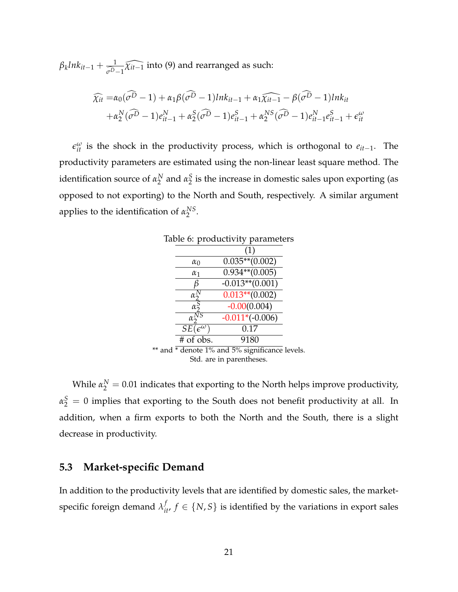$\beta_k ln k_{it-1} + \frac{1}{\widehat{h}}$  $\sigma^{D}-1$  $\widehat{\chi_{it-1}}$  into (9) and rearranged as such:

$$
\widehat{\chi_{it}} = \alpha_0(\widehat{\sigma^D} - 1) + \alpha_1 \beta(\widehat{\sigma^D} - 1)ln k_{it-1} + \alpha_1 \widehat{\chi_{it-1}} - \beta(\widehat{\sigma^D} - 1)ln k_{it} \n+ \alpha_2^N(\widehat{\sigma^D} - 1)e_{it-1}^N + \alpha_2^S(\widehat{\sigma^D} - 1)e_{it-1}^S + \alpha_2^{NS}(\widehat{\sigma^D} - 1)e_{it-1}^N e_{it-1}^S + \epsilon_{it}^{\omega}
$$

*ε*<sup>ω</sup> is the shock in the productivity process, which is orthogonal to *e*<sub>*it*−1</sub>. The productivity parameters are estimated using the non-linear least square method. The identification source of  $\alpha_2^N$  $_2^N$  and  $\alpha_2^S$  $\frac{5}{2}$  is the increase in domestic sales upon exporting (as opposed to not exporting) to the North and South, respectively. A similar argument applies to the identification of *α NS*  $\frac{N}{2}$ .

| Table 6: productivity parameters |                                                |  |  |  |  |  |
|----------------------------------|------------------------------------------------|--|--|--|--|--|
|                                  | (1)                                            |  |  |  |  |  |
| $\alpha_0$                       | $0.035**$ (0.002)                              |  |  |  |  |  |
| $\alpha_1$                       | $0.934**$ (0.005)                              |  |  |  |  |  |
|                                  | $-0.013**$ (0.001)                             |  |  |  |  |  |
|                                  | $0.013**$ (0.002)                              |  |  |  |  |  |
| $\alpha$ $\overline{a}$          | $-0.00(0.004)$                                 |  |  |  |  |  |
| $\alpha^{\mu}$                   | $-0.011*(-0.006)$                              |  |  |  |  |  |
| $SE(\epsilon^{\omega})$          | 0.17                                           |  |  |  |  |  |
| $#$ of obs.                      | 9180                                           |  |  |  |  |  |
|                                  | ** and * denote 1% and 5% significance levels. |  |  |  |  |  |
|                                  | Std. are in parentheses.                       |  |  |  |  |  |

While  $\alpha_2^N = 0.01$  indicates that exporting to the North helps improve productivity,  $\alpha_2^S = 0$  implies that exporting to the South does not benefit productivity at all. In addition, when a firm exports to both the North and the South, there is a slight decrease in productivity.

#### **5.3 Market-specific Demand**

In addition to the productivity levels that are identified by domestic sales, the marketspecific foreign demand  $\lambda_{it'}^f$   $f \in \{N, S\}$  is identified by the variations in export sales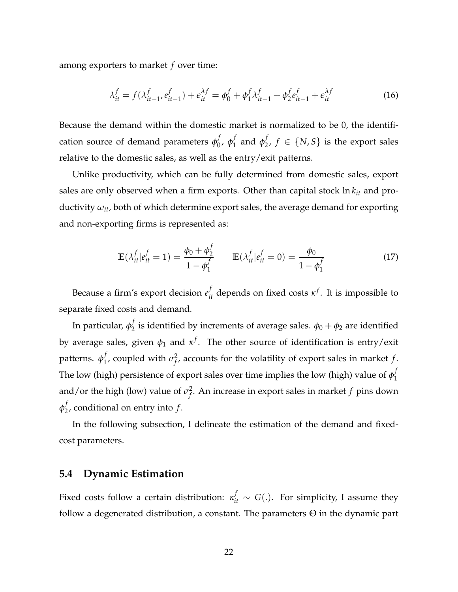among exporters to market *f* over time:

$$
\lambda_{it}^f = f(\lambda_{it-1}^f, e_{it-1}^f) + \epsilon_{it}^{\lambda f} = \phi_0^f + \phi_1^f \lambda_{it-1}^f + \phi_2^f e_{it-1}^f + \epsilon_{it}^{\lambda f}
$$
(16)

Because the demand within the domestic market is normalized to be 0, the identification source of demand parameters *φ f* 0 , *φ f*  $j<sub>1</sub>$  and  $\phi_2^f$  $L_2^f, f \in \{N, S\}$  is the export sales relative to the domestic sales, as well as the entry/exit patterns.

Unlike productivity, which can be fully determined from domestic sales, export sales are only observed when a firm exports. Other than capital stock ln *kit* and productivity *ωit*, both of which determine export sales, the average demand for exporting and non-exporting firms is represented as:

$$
\mathbb{E}(\lambda_{it}^f | e_{it}^f = 1) = \frac{\phi_0 + \phi_2^f}{1 - \phi_1^f} \qquad \mathbb{E}(\lambda_{it}^f | e_{it}^f = 0) = \frac{\phi_0}{1 - \phi_1^f}
$$
(17)

Because a firm's export decision  $e^f_{it}$  depends on fixed costs  $\kappa^f$ . It is impossible to separate fixed costs and demand.

In particular, *φ f*  $\phi_2$  is identified by increments of average sales.  $\phi_0 + \phi_2$  are identified by average sales, given *φ*<sup>1</sup> and *κ f* . The other source of identification is entry/exit patterns. *φ f*  $j<sub>1</sub>$ , coupled with  $\sigma_f^2$  $f_f^2$ , accounts for the volatility of export sales in market  $f$ . The low (high) persistence of export sales over time implies the low (high) value of  $\phi_1^f$ 1 and/or the high (low) value of  $\sigma_f^2$ *f* . An increase in export sales in market *f* pins down *φ f*  $\frac{1}{2}$ , conditional on entry into f.

In the following subsection, I delineate the estimation of the demand and fixedcost parameters.

#### **5.4 Dynamic Estimation**

Fixed costs follow a certain distribution:  $\kappa_{it}^f \sim G(.)$ . For simplicity, I assume they follow a degenerated distribution, a constant. The parameters Θ in the dynamic part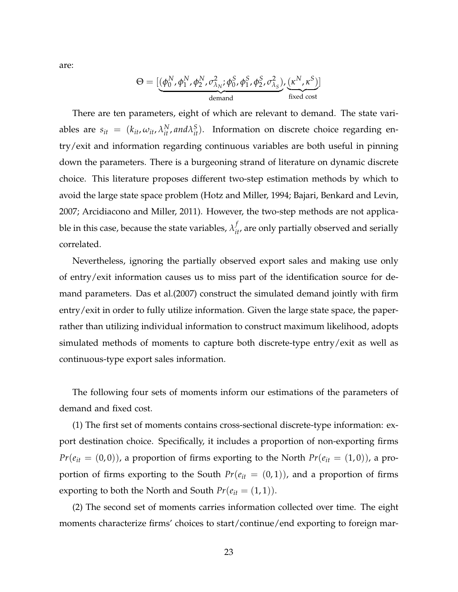are:

$$
\Theta = \left[ \underbrace{(\phi_0^N, \phi_1^N, \phi_2^N, \sigma_{\lambda_N}^2; \phi_0^S, \phi_1^S, \phi_2^S, \sigma_{\lambda_S}^2)}_{\text{demand}} \underbrace{(\kappa^N, \kappa^S)}_{\text{fixed cost}} \right]
$$

There are ten parameters, eight of which are relevant to demand. The state variables are  $s_{it} = (k_{it}, \omega_{it}, \lambda_{it}^N, and \lambda_{it}^S)$ . Information on discrete choice regarding entry/exit and information regarding continuous variables are both useful in pinning down the parameters. There is a burgeoning strand of literature on dynamic discrete choice. This literature proposes different two-step estimation methods by which to avoid the large state space problem (Hotz and Miller, 1994; Bajari, Benkard and Levin, 2007; Arcidiacono and Miller, 2011). However, the two-step methods are not applicable in this case, because the state variables,  $\lambda_{it}^f$  are only partially observed and serially correlated.

Nevertheless, ignoring the partially observed export sales and making use only of entry/exit information causes us to miss part of the identification source for demand parameters. Das et al.(2007) construct the simulated demand jointly with firm entry/exit in order to fully utilize information. Given the large state space, the paperrather than utilizing individual information to construct maximum likelihood, adopts simulated methods of moments to capture both discrete-type entry/exit as well as continuous-type export sales information.

The following four sets of moments inform our estimations of the parameters of demand and fixed cost.

(1) The first set of moments contains cross-sectional discrete-type information: export destination choice. Specifically, it includes a proportion of non-exporting firms  $Pr(e_{it} = (0, 0))$ , a proportion of firms exporting to the North  $Pr(e_{it} = (1, 0))$ , a proportion of firms exporting to the South  $Pr(e_{it} = (0, 1))$ , and a proportion of firms exporting to both the North and South  $Pr(e_{it} = (1, 1)).$ 

(2) The second set of moments carries information collected over time. The eight moments characterize firms' choices to start/continue/end exporting to foreign mar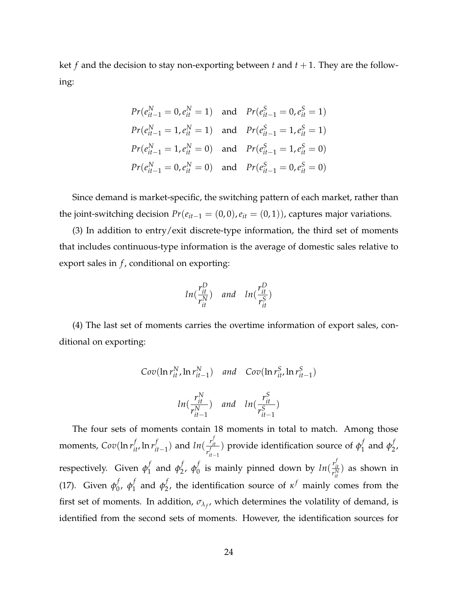ket  $f$  and the decision to stay non-exporting between  $t$  and  $t + 1$ . They are the following:

$$
Pr(e_{it-1}^{N} = 0, e_{it}^{N} = 1) \text{ and } Pr(e_{it-1}^{S} = 0, e_{it}^{S} = 1)
$$
  
\n
$$
Pr(e_{it-1}^{N} = 1, e_{it}^{N} = 1) \text{ and } Pr(e_{it-1}^{S} = 1, e_{it}^{S} = 1)
$$
  
\n
$$
Pr(e_{it-1}^{N} = 1, e_{it}^{N} = 0) \text{ and } Pr(e_{it-1}^{S} = 1, e_{it}^{S} = 0)
$$
  
\n
$$
Pr(e_{it-1}^{N} = 0, e_{it}^{N} = 0) \text{ and } Pr(e_{it-1}^{S} = 0, e_{it}^{S} = 0)
$$

Since demand is market-specific, the switching pattern of each market, rather than the joint-switching decision  $Pr(e_{it-1} = (0, 0), e_{it} = (0, 1))$ , captures major variations.

(3) In addition to entry/exit discrete-type information, the third set of moments that includes continuous-type information is the average of domestic sales relative to export sales in  $f$ , conditional on exporting:

$$
ln(\frac{r_{it}^D}{r_{it}^N})
$$
 and  $ln(\frac{r_{it}^D}{r_{it}^S})$ 

(4) The last set of moments carries the overtime information of export sales, conditional on exporting:

$$
Cov(\ln r_{it}^N, \ln r_{it-1}^N) \quad and \quad Cov(\ln r_{it}^S, \ln r_{it-1}^S)
$$

$$
ln(\frac{r_{it}^N}{r_{it-1}^N}) \quad and \quad ln(\frac{r_{it}^S}{r_{it-1}^S})
$$

The four sets of moments contain 18 moments in total to match. Among those moments,  $Cov(\ln r_{it'}^f \ln r_{it'}^f)$ *f*<sub>*it*−1</sub>) and *ln*( $\frac{r_i^f}{r_i^f}$ *it r f it*−1 ) provide identification source of  $\phi_1^f$  $\int_{1}^{f}$  and  $\phi_2^f$ 2 , respectively. Given *φ f*  $j<sub>1</sub>$  and  $\phi_2^f$ 2 , *φ f*  $\int_0^f$  is mainly pinned down by  $ln(\frac{r_i^f}{r_i^f})$ *it*  $\left(\frac{r_{it}}{r_{it}^N}\right)$  as shown in (17). Given  $\phi_0^f$ 0 , *φ f*  $\int_1^f$  and  $\phi_2^f$  $\frac{1}{2}$ , the identification source of  $\kappa^f$  mainly comes from the first set of moments. In addition,  $\sigma_{\lambda_f}$ , which determines the volatility of demand, is identified from the second sets of moments. However, the identification sources for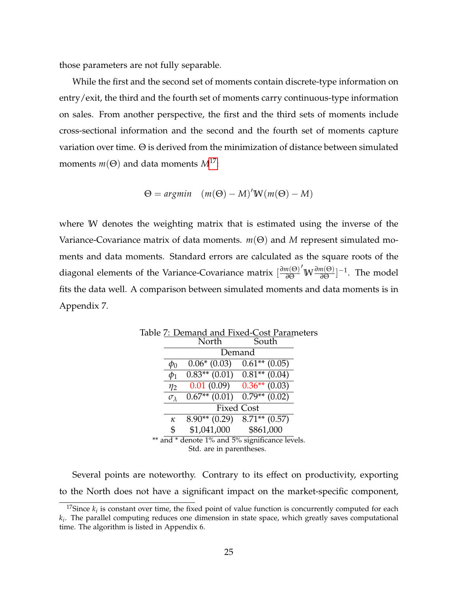those parameters are not fully separable.

While the first and the second set of moments contain discrete-type information on entry/exit, the third and the fourth set of moments carry continuous-type information on sales. From another perspective, the first and the third sets of moments include cross-sectional information and the second and the fourth set of moments capture variation over time. Θ is derived from the minimization of distance between simulated moments  $m(\Theta)$  and data moments  $M^{17}$  $M^{17}$  $M^{17}$ :

$$
\Theta = argmin \quad (m(\Theta) - M)'W(m(\Theta) - M)
$$

where **W** denotes the weighting matrix that is estimated using the inverse of the Variance-Covariance matrix of data moments. *m*(Θ) and *M* represent simulated moments and data moments. Standard errors are calculated as the square roots of the diagonal elements of the Variance-Covariance matrix [ *∂m*(Θ) *∂*Θ  $\int^{\prime} \mathbb{W} \frac{\partial m(\Theta)}{\partial \Theta} ]^{-1}$ . The model fits the data well. A comparison between simulated moments and data moments is in Appendix 7.

|                    | Table 7: Demand and Fixed-Cost Parameters      |                              |  |
|--------------------|------------------------------------------------|------------------------------|--|
|                    | North                                          | South                        |  |
|                    | Demand                                         |                              |  |
|                    | $0.06*(0.03)$                                  | $0.61**$ (0.05)              |  |
|                    | $0.83**$ (0.01) $0.81**$ (0.04)                |                              |  |
| $\eta_2$           |                                                | $0.01(0.09)$ $0.36**$ (0.03) |  |
| $\sigma_{\lambda}$ | $0.67**$ $(0.01)$ $0.79**$ $(0.02)$            |                              |  |
|                    | <b>Fixed Cost</b>                              |                              |  |
| κ                  | $8.90**$ (0.29) $8.71**$ (0.57)                |                              |  |
| $\mathfrak{S}$     | \$1,041,000                                    | \$861,000                    |  |
|                    | ** and * denote 1% and 5% significance levels. |                              |  |
|                    | Std. are in parentheses.                       |                              |  |

Several points are noteworthy. Contrary to its effect on productivity, exporting to the North does not have a significant impact on the market-specific component,

<sup>&</sup>lt;sup>17</sup>Since  $k_i$  is constant over time, the fixed point of value function is concurrently computed for each *ki* . The parallel computing reduces one dimension in state space, which greatly saves computational time. The algorithm is listed in Appendix 6.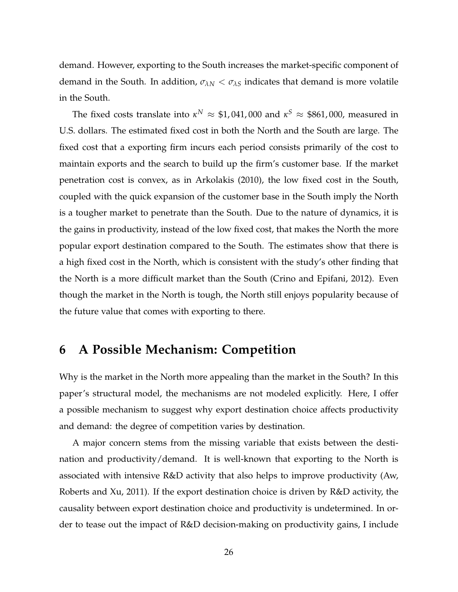demand. However, exporting to the South increases the market-specific component of demand in the South. In addition,  $\sigma_{\lambda N} < \sigma_{\lambda S}$  indicates that demand is more volatile in the South.

The fixed costs translate into  $\kappa^N \approx $1,041,000$  and  $\kappa^S \approx $861,000$ , measured in U.S. dollars. The estimated fixed cost in both the North and the South are large. The fixed cost that a exporting firm incurs each period consists primarily of the cost to maintain exports and the search to build up the firm's customer base. If the market penetration cost is convex, as in Arkolakis (2010), the low fixed cost in the South, coupled with the quick expansion of the customer base in the South imply the North is a tougher market to penetrate than the South. Due to the nature of dynamics, it is the gains in productivity, instead of the low fixed cost, that makes the North the more popular export destination compared to the South. The estimates show that there is a high fixed cost in the North, which is consistent with the study's other finding that the North is a more difficult market than the South (Crino and Epifani, 2012). Even though the market in the North is tough, the North still enjoys popularity because of the future value that comes with exporting to there.

#### **6 A Possible Mechanism: Competition**

Why is the market in the North more appealing than the market in the South? In this paper's structural model, the mechanisms are not modeled explicitly. Here, I offer a possible mechanism to suggest why export destination choice affects productivity and demand: the degree of competition varies by destination.

A major concern stems from the missing variable that exists between the destination and productivity/demand. It is well-known that exporting to the North is associated with intensive R&D activity that also helps to improve productivity (Aw, Roberts and Xu, 2011). If the export destination choice is driven by R&D activity, the causality between export destination choice and productivity is undetermined. In order to tease out the impact of R&D decision-making on productivity gains, I include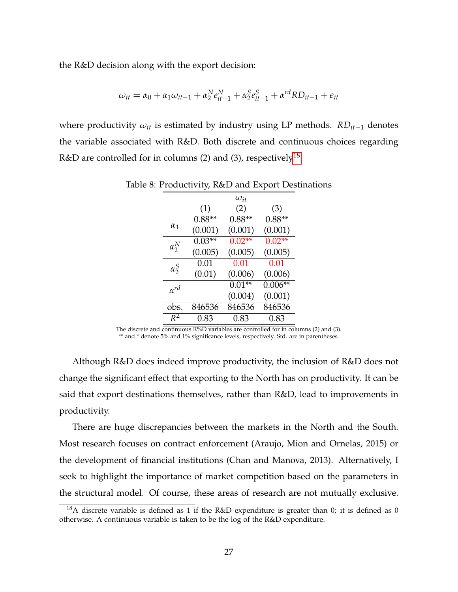the R&D decision along with the export decision:

$$
\omega_{it} = \alpha_0 + \alpha_1 \omega_{it-1} + \alpha_2^N e_{it-1}^N + \alpha_2^S e_{it-1}^S + \alpha^{rd} R D_{it-1} + \epsilon_{it}
$$

where productivity  $\omega_{it}$  is estimated by industry using LP methods.  $RD_{it-1}$  denotes the variable associated with R&D. Both discrete and continuous choices regarding R&D are controlled for in columns (2) and (3), respectively<sup>[18](#page-1-0)</sup>.

|               |          | $\omega_{it}$ |           |
|---------------|----------|---------------|-----------|
|               | (1)      | (2)           | (3)       |
|               | $0.88**$ | $0.88**$      | $0.88**$  |
| $\alpha_1$    | (0.001)  | (0.001)       | (0.001)   |
| $\alpha_2^N$  | $0.03**$ | $0.02**$      | $0.02**$  |
|               | (0.005)  | (0.005)       | (0.005)   |
| $\alpha_2^S$  | 0.01     | 0.01          | 0.01      |
|               | (0.01)   | (0.006)       | (0.006)   |
| $\alpha^{rd}$ |          | $0.01**$      | $0.006**$ |
|               |          | (0.004)       | (0.001)   |
| obs.          | 846536   | 846536        | 846536    |
| $R^2$         | 0.83     | 0.83          | 0.83      |
|               |          |               |           |

Table 8: Productivity, R&D and Export Destinations

The discrete and continuous R%D variables are controlled for in columns (2) and (3). \*\* and \* denote 5% and 1% significance levels, respectively. Std. are in parentheses.

Although R&D does indeed improve productivity, the inclusion of R&D does not change the significant effect that exporting to the North has on productivity. It can be said that export destinations themselves, rather than R&D, lead to improvements in productivity.

There are huge discrepancies between the markets in the North and the South. Most research focuses on contract enforcement (Araujo, Mion and Ornelas, 2015) or the development of financial institutions (Chan and Manova, 2013). Alternatively, I seek to highlight the importance of market competition based on the parameters in the structural model. Of course, these areas of research are not mutually exclusive.

<sup>&</sup>lt;sup>18</sup>A discrete variable is defined as 1 if the R&D expenditure is greater than 0; it is defined as 0 otherwise. A continuous variable is taken to be the log of the R&D expenditure.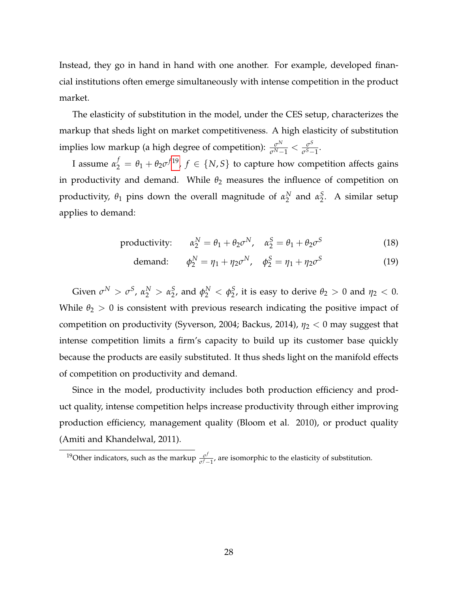Instead, they go in hand in hand with one another. For example, developed financial institutions often emerge simultaneously with intense competition in the product market.

The elasticity of substitution in the model, under the CES setup, characterizes the markup that sheds light on market competitiveness. A high elasticity of substitution implies low markup (a high degree of competition):  $\frac{\sigma^N}{\sigma^N}$  $\frac{\sigma^N}{\sigma^N-1} < \frac{\sigma^S}{\sigma^S-1}$  $\frac{\sigma^3}{\sigma^3-1}$ .

I assume  $\alpha_2^f = \theta_1 + \theta_2 \sigma^{f19}$  $\alpha_2^f = \theta_1 + \theta_2 \sigma^{f19}$  $\alpha_2^f = \theta_1 + \theta_2 \sigma^{f19}$ ,  $f \in \{N, S\}$  to capture how competition affects gains in productivity and demand. While  $\theta_2$  measures the influence of competition on productivity,  $\theta_1$  pins down the overall magnitude of  $\alpha_2^N$  $\frac{N}{2}$  and  $\alpha_2^S$  $2^5$ . A similar setup applies to demand:

productivity: 
$$
\alpha_2^N = \theta_1 + \theta_2 \sigma^N
$$
,  $\alpha_2^S = \theta_1 + \theta_2 \sigma^S$  (18)

demand:  $\phi_2^N = \eta_1 + \eta_2 \sigma^N$ ,  $\phi_2^S = \eta_1 + \eta_2 \sigma^S$ (19)

 $\text{Given } \sigma^N > \sigma^S, \, \alpha_2^N > \alpha_2^S$  $_2^S$ , and  $\phi_2^N < \phi_2^S$  $_2^S$ , it is easy to derive  $θ_2 > 0$  and  $η_2 < 0$ . While  $\theta_2 > 0$  is consistent with previous research indicating the positive impact of competition on productivity (Syverson, 2004; Backus, 2014),  $η<sub>2</sub> < 0$  may suggest that intense competition limits a firm's capacity to build up its customer base quickly because the products are easily substituted. It thus sheds light on the manifold effects of competition on productivity and demand.

Since in the model, productivity includes both production efficiency and product quality, intense competition helps increase productivity through either improving production efficiency, management quality (Bloom et al. 2010), or product quality (Amiti and Khandelwal, 2011).

<sup>&</sup>lt;sup>19</sup>Other indicators, such as the markup  $\frac{\sigma^f}{\sigma^f}$  $\frac{\sigma}{\sigma^f-1}$ , are isomorphic to the elasticity of substitution.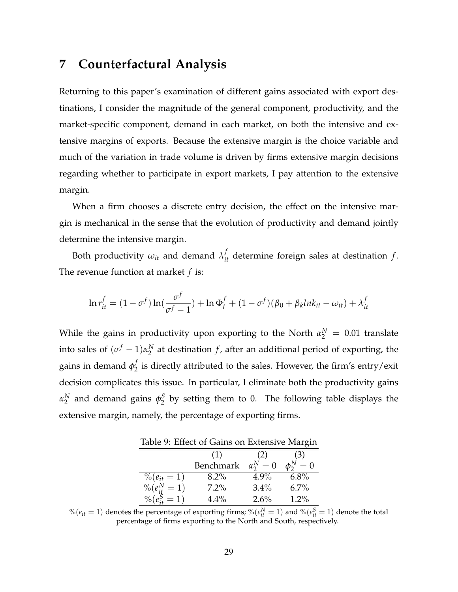## **7 Counterfactural Analysis**

Returning to this paper's examination of different gains associated with export destinations, I consider the magnitude of the general component, productivity, and the market-specific component, demand in each market, on both the intensive and extensive margins of exports. Because the extensive margin is the choice variable and much of the variation in trade volume is driven by firms extensive margin decisions regarding whether to participate in export markets, I pay attention to the extensive margin.

When a firm chooses a discrete entry decision, the effect on the intensive margin is mechanical in the sense that the evolution of productivity and demand jointly determine the intensive margin.

Both productivity  $\omega_{it}$  and demand  $\lambda_{it}^f$  determine foreign sales at destination  $f$ . The revenue function at market *f* is:

$$
\ln r_{it}^f = (1 - \sigma^f) \ln(\frac{\sigma^f}{\sigma^f - 1}) + \ln \Phi_t^f + (1 - \sigma^f)(\beta_0 + \beta_k \ln k_{it} - \omega_{it}) + \lambda_{it}^f
$$

While the gains in productivity upon exporting to the North  $\alpha_2^N = 0.01$  translate into sales of  $(\sigma^f - 1)\alpha_2^N$  $_2^N$  at destination  $f$ , after an additional period of exporting, the gains in demand *φ f*  $\frac{1}{2}$  is directly attributed to the sales. However, the firm's entry/exit decision complicates this issue. In particular, I eliminate both the productivity gains *α N*  $_2^N$  and demand gains  $\phi_2^S$  $_2^5$  by setting them to 0. The following table displays the extensive margin, namely, the percentage of exporting firms.

|                     | Table 9: Effect of Gains on Extensive Margin |                |       |
|---------------------|----------------------------------------------|----------------|-------|
|                     | (1)                                          | (2)            | (3)   |
|                     | Benchmark                                    | $\alpha_2^N=0$ | $= 0$ |
| $\% (e_{it} = 1)$   | $8.2\%$                                      | 4.9%           | 6.8%  |
| $\% (e_{ii}^N = 1)$ | 7.2%                                         | 3.4%           | 6.7%  |
| $= 1)$              | 4.4%                                         | 2.6%           | 1.2%  |

 $%$   $(e_{it} = 1)$  denotes the percentage of exporting firms;  $%$   $(e_{it}^{N} = 1)$  and  $%$   $(e_{it}^{S} = 1)$  denote the total percentage of firms exporting to the North and South, respectively.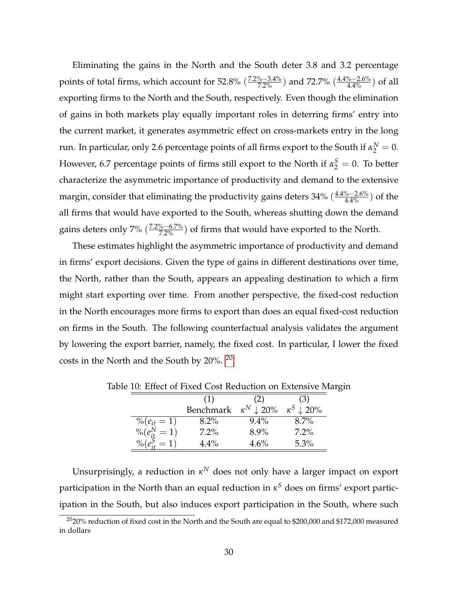Eliminating the gains in the North and the South deter 3.8 and 3.2 percentage points of total firms, which account for 52.8% ( $\frac{7.2\% - 3.4\%}{7.2\%}$ ) and 72.7% ( $\frac{4.4\% - 2.6\%}{4.4\%}$ ) of all exporting firms to the North and the South, respectively. Even though the elimination of gains in both markets play equally important roles in deterring firms' entry into the current market, it generates asymmetric effect on cross-markets entry in the long run. In particular, only 2.6 percentage points of all firms export to the South if  $\alpha_2^N=0.$ However, 6.7 percentage points of firms still export to the North if  $\alpha_2^S = 0$ . To better characterize the asymmetric importance of productivity and demand to the extensive margin, consider that eliminating the productivity gains deters 34%  $(\frac{4.4\% - 2.6\%}{4.4\%})$  of the all firms that would have exported to the South, whereas shutting down the demand gains deters only 7% ( $\frac{7.2\% - 6.7\%}{7.2\%}$ ) of firms that would have exported to the North.

These estimates highlight the asymmetric importance of productivity and demand in firms' export decisions. Given the type of gains in different destinations over time, the North, rather than the South, appears an appealing destination to which a firm might start exporting over time. From another perspective, the fixed-cost reduction in the North encourages more firms to export than does an equal fixed-cost reduction on firms in the South. The following counterfactual analysis validates the argument by lowering the export barrier, namely, the fixed cost. In particular, I lower the fixed costs in the North and the South by [20](#page-1-0)%. <sup>20</sup>

|                                         |                                      | (2)     | 3)                         |
|-----------------------------------------|--------------------------------------|---------|----------------------------|
|                                         | Benchmark $\kappa^N \downarrow 20\%$ |         | $\kappa^S \downarrow 20\%$ |
| $\% (e_{it} = 1)$                       | $8.2\%$                              | $9.4\%$ | 8.7%                       |
| $\frac{\%(e_{it}^N=1)}{\%(e_{it}^S=1)}$ | $7.2\%$                              | $8.9\%$ | 7.2%                       |
|                                         | 4.4%                                 | 4.6%    | 5.3%                       |

Table 10: Effect of Fixed Cost Reduction on Extensive Margin

Unsurprisingly, a reduction in  $\kappa^N$  does not only have a larger impact on export participation in the North than an equal reduction in *κ <sup>S</sup>* does on firms' export participation in the South, but also induces export participation in the South, where such

 $^{20}$ 20% reduction of fixed cost in the North and the South are equal to \$200,000 and \$172,000 measured in dollars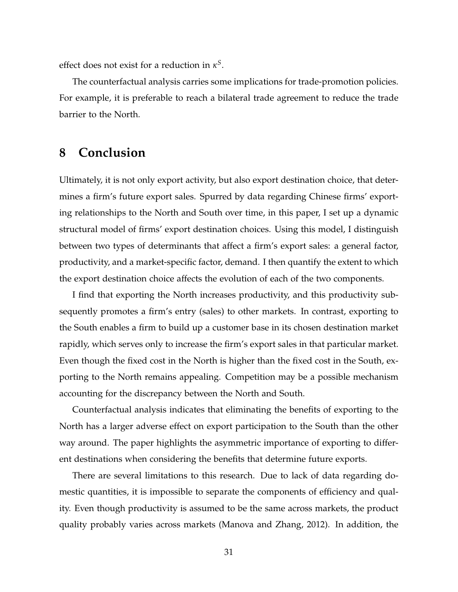effect does not exist for a reduction in *κ S* .

The counterfactual analysis carries some implications for trade-promotion policies. For example, it is preferable to reach a bilateral trade agreement to reduce the trade barrier to the North.

### **8 Conclusion**

Ultimately, it is not only export activity, but also export destination choice, that determines a firm's future export sales. Spurred by data regarding Chinese firms' exporting relationships to the North and South over time, in this paper, I set up a dynamic structural model of firms' export destination choices. Using this model, I distinguish between two types of determinants that affect a firm's export sales: a general factor, productivity, and a market-specific factor, demand. I then quantify the extent to which the export destination choice affects the evolution of each of the two components.

I find that exporting the North increases productivity, and this productivity subsequently promotes a firm's entry (sales) to other markets. In contrast, exporting to the South enables a firm to build up a customer base in its chosen destination market rapidly, which serves only to increase the firm's export sales in that particular market. Even though the fixed cost in the North is higher than the fixed cost in the South, exporting to the North remains appealing. Competition may be a possible mechanism accounting for the discrepancy between the North and South.

Counterfactual analysis indicates that eliminating the benefits of exporting to the North has a larger adverse effect on export participation to the South than the other way around. The paper highlights the asymmetric importance of exporting to different destinations when considering the benefits that determine future exports.

There are several limitations to this research. Due to lack of data regarding domestic quantities, it is impossible to separate the components of efficiency and quality. Even though productivity is assumed to be the same across markets, the product quality probably varies across markets (Manova and Zhang, 2012). In addition, the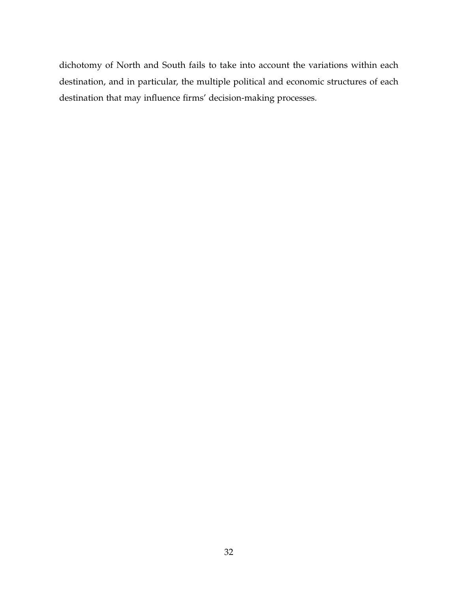dichotomy of North and South fails to take into account the variations within each destination, and in particular, the multiple political and economic structures of each destination that may influence firms' decision-making processes.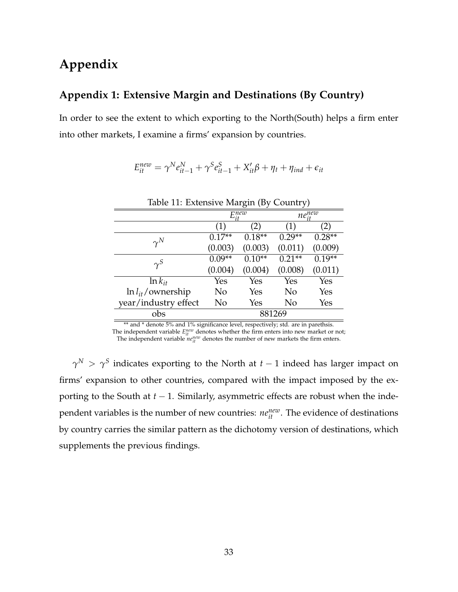# **Appendix**

#### **Appendix 1: Extensive Margin and Destinations (By Country)**

In order to see the extent to which exporting to the North(South) helps a firm enter into other markets, I examine a firms' expansion by countries.

$$
E_{it}^{new} = \gamma^N e_{it-1}^N + \gamma^S e_{it-1}^S + X_{it}' \beta + \eta_t + \eta_{ind} + \epsilon_{it}
$$

| Table 11: Extensive Margin (By Country) |          |                |                 |          |  |
|-----------------------------------------|----------|----------------|-----------------|----------|--|
|                                         |          | $E_{it}^{new}$ | $ne_{it}^{new}$ |          |  |
|                                         | (1)      | (2)            | (1)             | (2)      |  |
| $\gamma^N$                              | $0.17**$ | $0.18**$       | $0.29**$        | $0.28**$ |  |
|                                         | (0.003)  | (0.003)        | (0.011)         | (0.009)  |  |
| $\gamma^S$                              | $0.09**$ | $0.10**$       | $0.21**$        | $0.19**$ |  |
|                                         | (0.004)  | (0.004)        | (0.008)         | (0.011)  |  |
| $\ln k_{it}$                            | Yes      | Yes            | Yes             | Yes      |  |
| $\ln l_{it}/$ ownership                 | No       | Yes            | No              | Yes      |  |
| year/industry effect                    | Nο       | Yes            | Nο              | Yes      |  |
| obs                                     | 881269   |                |                 |          |  |

\*\* and \* denote 5% and 1% significance level, respectively; std. are in parethsis. The independent variable  $E_{it}^{new}$  denotes whether the firm enters into new market or not;<br>The independent variable  $n_{it}^{new}$  denotes the number of new markets the firm enters.

 $\gamma^N > \gamma^S$  indicates exporting to the North at  $t-1$  indeed has larger impact on firms' expansion to other countries, compared with the impact imposed by the exporting to the South at *t* − 1. Similarly, asymmetric effects are robust when the independent variables is the number of new countries:  $ne^{new}_{it}$ . The evidence of destinations by country carries the similar pattern as the dichotomy version of destinations, which supplements the previous findings.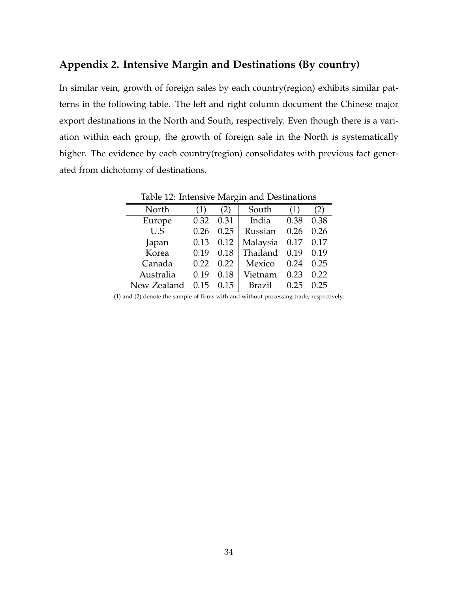#### **Appendix 2. Intensive Margin and Destinations (By country)**

In similar vein, growth of foreign sales by each country(region) exhibits similar patterns in the following table. The left and right column document the Chinese major export destinations in the North and South, respectively. Even though there is a variation within each group, the growth of foreign sale in the North is systematically higher. The evidence by each country(region) consolidates with previous fact generated from dichotomy of destinations.

| racie 12. machen e margin and Destinations |      |      |               |      |      |
|--------------------------------------------|------|------|---------------|------|------|
| North                                      | (1)  | (2)  | South         | (1)  | (2)  |
| Europe                                     | 0.32 | 0.31 | India         | 0.38 | 0.38 |
| U.S                                        | 0.26 | 0.25 | Russian       | 0.26 | 0.26 |
| Japan                                      | 0.13 | 0.12 | Malaysia      | 0.17 | 0.17 |
| Korea                                      | 0.19 | 0.18 | Thailand      | 0.19 | 0.19 |
| Canada                                     | 0.22 | 0.22 | Mexico        | 0.24 | 0.25 |
| Australia                                  | 0.19 | 0.18 | Vietnam       | 0.23 | 0.22 |
| New Zealand                                | 0.15 | 0.15 | <b>Brazil</b> | 0.25 | 0.25 |

Table 12: Intensive Margin and Destinations

(1) and (2) denote the sample of firms with and without processing trade, respectively.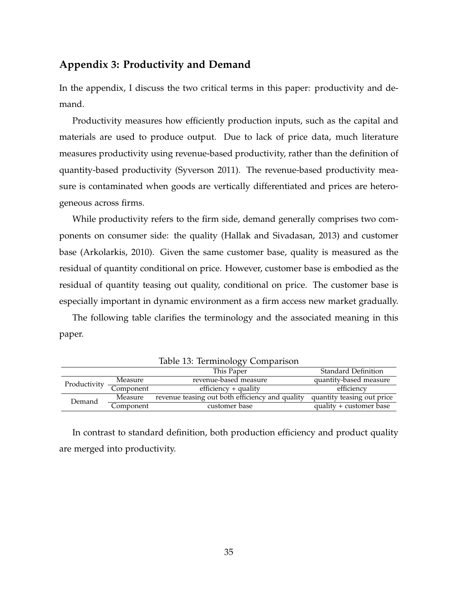#### **Appendix 3: Productivity and Demand**

In the appendix, I discuss the two critical terms in this paper: productivity and demand.

Productivity measures how efficiently production inputs, such as the capital and materials are used to produce output. Due to lack of price data, much literature measures productivity using revenue-based productivity, rather than the definition of quantity-based productivity (Syverson 2011). The revenue-based productivity measure is contaminated when goods are vertically differentiated and prices are heterogeneous across firms.

While productivity refers to the firm side, demand generally comprises two components on consumer side: the quality (Hallak and Sivadasan, 2013) and customer base (Arkolarkis, 2010). Given the same customer base, quality is measured as the residual of quantity conditional on price. However, customer base is embodied as the residual of quantity teasing out quality, conditional on price. The customer base is especially important in dynamic environment as a firm access new market gradually.

The following table clarifies the terminology and the associated meaning in this paper.

|              |           | This Paper                                      | <b>Standard Definition</b> |  |
|--------------|-----------|-------------------------------------------------|----------------------------|--|
| Productivity | Measure   | revenue-based measure                           | quantity-based measure     |  |
|              | Component | efficiency $+$ quality                          | efficiency                 |  |
| Demand       | Measure   | revenue teasing out both efficiency and quality | quantity teasing out price |  |
|              | Component | customer base                                   | quality $+$ customer base  |  |

Table 13: Terminology Comparison

In contrast to standard definition, both production efficiency and product quality are merged into productivity.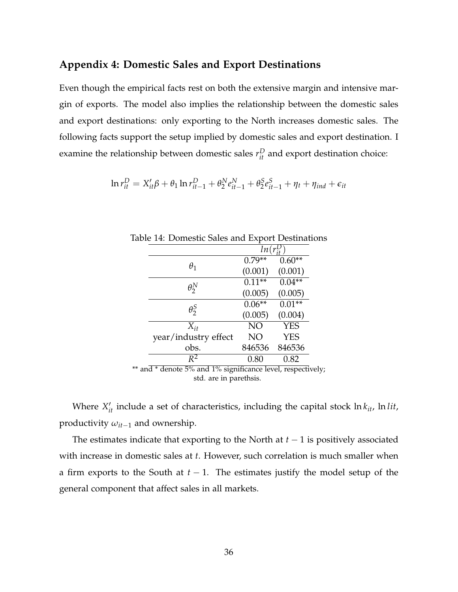#### **Appendix 4: Domestic Sales and Export Destinations**

Even though the empirical facts rest on both the extensive margin and intensive margin of exports. The model also implies the relationship between the domestic sales and export destinations: only exporting to the North increases domestic sales. The following facts support the setup implied by domestic sales and export destination. I examine the relationship between domestic sales  $r_{it}^D$  and export destination choice:

$$
\ln r_{it}^D = X_{it}'\beta + \theta_1 \ln r_{it-1}^D + \theta_2^N e_{it-1}^N + \theta_2^S e_{it-1}^S + \eta_t + \eta_{ind} + \epsilon_{it}
$$

|                                                           | abie 11. Domestic sales and Export Destination |  |  |  |
|-----------------------------------------------------------|------------------------------------------------|--|--|--|
|                                                           |                                                |  |  |  |
|                                                           | $0.60**$                                       |  |  |  |
| (0.001)                                                   | (0.001)                                        |  |  |  |
| $0.11**$                                                  | $0.04**$                                       |  |  |  |
| (0.005)                                                   | (0.005)                                        |  |  |  |
| $0.06**$                                                  | $0.01**$                                       |  |  |  |
| (0.005)                                                   | (0.004)                                        |  |  |  |
| NO                                                        | <b>YES</b>                                     |  |  |  |
| NO                                                        | <b>YES</b>                                     |  |  |  |
| 846536                                                    | 846536                                         |  |  |  |
| 0.80                                                      | 0.82                                           |  |  |  |
| * and * denote 5% and 1% significance level, respectively |                                                |  |  |  |
|                                                           | ln(<br>$0.79**$                                |  |  |  |

Table 14: Domestic Sales and Export Destinations

\*\* and \* denote 5% and 1% significance level, respectively; std. are in parethsis.

Where  $X'_{it}$  include a set of characteristics, including the capital stock  $\ln k_{it}$ ,  $\ln lit$ , productivity  $\omega_{it-1}$  and ownership.

The estimates indicate that exporting to the North at *t* − 1 is positively associated with increase in domestic sales at *t*. However, such correlation is much smaller when a firm exports to the South at *t* − 1. The estimates justify the model setup of the general component that affect sales in all markets.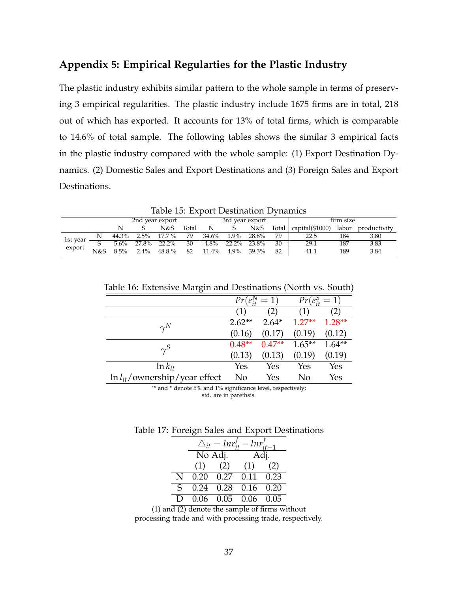#### **Appendix 5: Empirical Regularties for the Plastic Industry**

The plastic industry exhibits similar pattern to the whole sample in terms of preserving 3 empirical regularities. The plastic industry include 1675 firms are in total, 218 out of which has exported. It accounts for 13% of total firms, which is comparable to 14.6% of total sample. The following tables shows the similar 3 empirical facts in the plastic industry compared with the whole sample: (1) Export Destination Dynamics. (2) Domestic Sales and Export Destinations and (3) Foreign Sales and Export Destinations.

Table 15: Export Destination Dynamics

|                    |     | 2nd year export |         |          | 3rd year export |         |         | firm size |       |                 |       |              |
|--------------------|-----|-----------------|---------|----------|-----------------|---------|---------|-----------|-------|-----------------|-------|--------------|
|                    |     |                 |         | N&S      | Total           |         |         | N&S       | Total | capital(\$1000) | labor | productivity |
| 1st year<br>export |     | 44.3%           | $2.5\%$ | $17.7\%$ | 79              | 34.6%   | $1.9\%$ | 28.8%     | 79    | 22.5            | 184   | 3.80         |
|                    |     | 5.6%            | 27.8%   | $22.2\%$ | 30              | 4.8%    | 22.2%   | 23.8%     | 30    | 29.1            | 187   | 3.83         |
|                    | N&S | 8.5%            | $2.4\%$ | 48.8%    | 82              | $1.4\%$ | $4.9\%$ | 39.3%     | 82    |                 | 189   | 3.84         |

|                                     | $=1$     |          | $Pr(e_{ii}^S)$ |          |
|-------------------------------------|----------|----------|----------------|----------|
|                                     | (1)      | (2)      | (1)            | (2)      |
| $\gamma^N$                          | $2.62**$ | $2.64*$  | $1.27**$       | $1.28**$ |
|                                     | (0.16)   | (0.17)   | (0.19)         | (0.12)   |
| $\gamma^S$                          | $0.48**$ | $0.47**$ | $1.65**$       | $1.64**$ |
|                                     | (0.13)   | (0.13)   | (0.19)         | (0.19)   |
| $\ln k_{it}$                        | Yes      | Yes      | Yes            | Yes      |
| $\ln l_{it}/$ ownership/year effect | No       | Yes      | No             | Yes      |

Table 16: Extensive Margin and Destinations (North vs. South)

\*\* and \* denote 5% and 1% significance level, respectively; std. are in parethsis.

Table 17: Foreign Sales and Export Destinations

|   | $\Delta_{it} = ln r_{it}^J$ .<br>$\cdot$ lnr' <sub>it-1</sub> |      |                   |      |  |  |  |
|---|---------------------------------------------------------------|------|-------------------|------|--|--|--|
|   | No Adj.                                                       |      | Adj.              |      |  |  |  |
|   | (1)                                                           | (2)  | (1)               | (2)  |  |  |  |
| N | 0.20                                                          | 0.27 | $\overline{0.11}$ | 0.23 |  |  |  |
| S | 0.24                                                          | 0.28 | 0.16              | 0.20 |  |  |  |
|   | 0.06                                                          | 0.05 | 0.06              | 0.05 |  |  |  |

(1) and (2) denote the sample of firms without processing trade and with processing trade, respectively.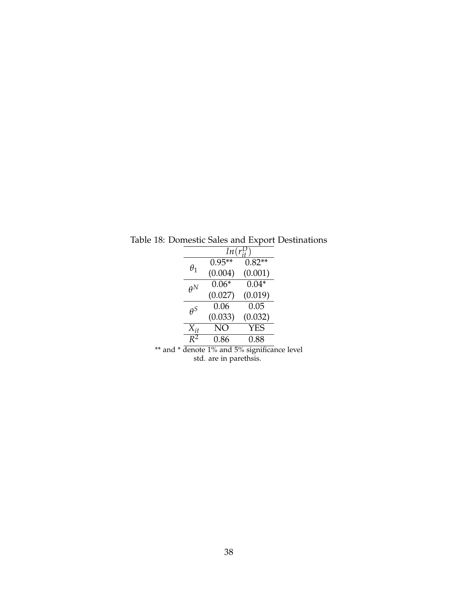|            | ln(1     |            |  |  |
|------------|----------|------------|--|--|
|            | $0.95**$ | $0.82**$   |  |  |
| $\theta_1$ | (0.004)  | (0.001)    |  |  |
| AΝ         | $0.06*$  | $0.04*$    |  |  |
|            | (0.027)  | (0.019)    |  |  |
| ρS         | 0.06     | 0.05       |  |  |
|            | (0.033)  | (0.032)    |  |  |
| $X_{it}$   | NO       | <b>YES</b> |  |  |
| $R^2$      | 0.86     | 0.88       |  |  |

Table 18: Domestic Sales and Export Destinations

\*\* and \* denote 1% and 5% significance level std. are in parethsis.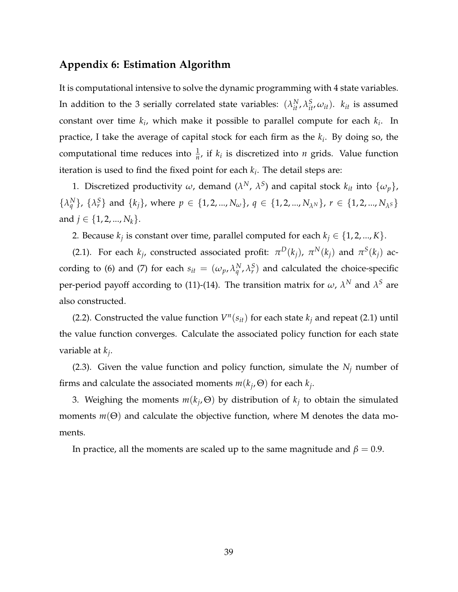#### **Appendix 6: Estimation Algorithm**

It is computational intensive to solve the dynamic programming with 4 state variables. In addition to the 3 serially correlated state variables:  $(\lambda_{it}^N, \lambda_{it}^S, \omega_{it})$ .  $k_{it}$  is assumed constant over time  $k_i$ , which make it possible to parallel compute for each  $k_i$ . In practice, I take the average of capital stock for each firm as the *k<sup>i</sup>* . By doing so, the computational time reduces into  $\frac{1}{n}$ , if  $k_i$  is discretized into *n* grids. Value function iteration is used to find the fixed point for each *k<sup>i</sup>* . The detail steps are:

1. Discretized productivity  $\omega$ , demand  $(\lambda^N, \lambda^S)$  and capital stock  $k_{it}$  into  $\{\omega_p\}$ ,  $\{\lambda_q^N\}$ ,  $\{\lambda_r^S\}$  and  $\{k_j\}$ , where  $p \in \{1, 2, ..., N_\omega\}$ ,  $q \in \{1, 2, ..., N_{\lambda^N}\}$ ,  $r \in \{1, 2, ..., N_{\lambda^S}\}$ and  $j \in \{1, 2, ..., N_k\}.$ 

2. Because  $k_j$  is constant over time, parallel computed for each  $k_j \in \{1, 2, ..., K\}$ .

(2.1). For each  $k_j$ , constructed associated profit:  $\pi^D(k_j)$ ,  $\pi^N(k_j)$  and  $\pi^S(k_j)$  according to (6) and (7) for each  $s_{it} = (\omega_p, \lambda_q^N, \lambda_r^S)$  and calculated the choice-specific per-period payoff according to (11)-(14). The transition matrix for  $\omega$ ,  $\lambda^N$  and  $\lambda^S$  are also constructed.

(2.2). Constructed the value function  $V^n(s_{it})$  for each state  $k_j$  and repeat (2.1) until the value function converges. Calculate the associated policy function for each state variable at *k<sup>j</sup>* .

(2.3). Given the value function and policy function, simulate the  $N_j$  number of firms and calculate the associated moments  $m(k_j, \Theta)$  for each  $k_j$ .

3. Weighing the moments  $m(k_j, \Theta)$  by distribution of  $k_j$  to obtain the simulated moments *m*(Θ) and calculate the objective function, where M denotes the data moments.

In practice, all the moments are scaled up to the same magnitude and  $\beta = 0.9$ .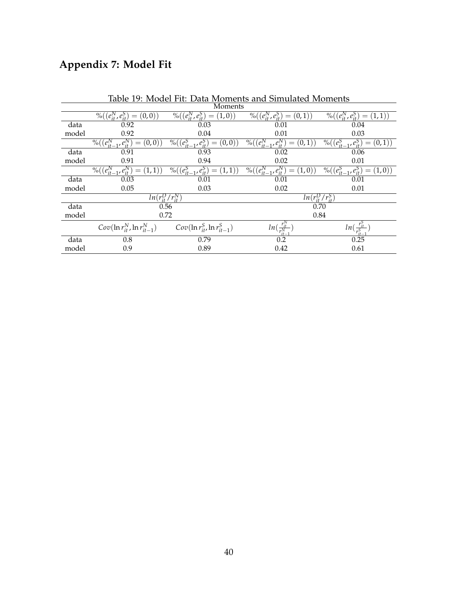# **Appendix 7: Model Fit**

|       |                                              | Moments                               |                                                  |                                                  |  |
|-------|----------------------------------------------|---------------------------------------|--------------------------------------------------|--------------------------------------------------|--|
|       | $\%((e_{ii}^N, e_{ii}^S))$<br>(0,0))<br>$=$  | $\%((e_{ii}^N, e_{ii}^S))$<br>(1,0)   | $\% ((e_{ii}^N,$<br>(0,1)<br>$e^{\mathcal{S}}$   | $\% ((e_{ii}^N,$<br>(1,1))<br>$e^5$              |  |
| data  | 0.92                                         | 0.03                                  | 0.01                                             | 0.04                                             |  |
| model | 0.92                                         | 0.04                                  | 0.01                                             | 0.03                                             |  |
|       | $\%((e_{it-1}^N, e_{it}^N))$<br>(0,0)<br>$=$ | $\%((e_{it-1}^S, e_{it}^S))$<br>(0,0) | $\%((e_{it-}^N))$<br>(0,1)<br>$1, e^{iN}$<br>$=$ | $\%((e_{it-}^{S})$<br>$= (0,1)$<br>$, e_{it}^5$  |  |
| data  | 0.91                                         | 0.93                                  | 0.02                                             | 0.06                                             |  |
| model | 0.91                                         | 0.94                                  | 0.02                                             | 0.01                                             |  |
|       | % $((e_{it-1}^N, e_{it}^N))$<br>1,1)         | $\% ((e_{it}^5))$<br>1)               | $\%((e_{it-1}^N, e_{it}^N))$<br>(1,0)            | $\% ((e_{it}^5)$<br>$= (1,0)$<br>$_1, e_{it}^5)$ |  |
| data  | 0.03                                         | 0.01                                  | 0.01                                             | 0.01                                             |  |
| model | 0.05                                         | 0.03                                  | 0.02                                             | 0.01                                             |  |
|       | $ln(r_{ii}^D/r_{ii}^N)$                      |                                       | $ln(r_{it}^D/r_{it}^S)$                          |                                                  |  |
| data  | 0.56                                         |                                       | 0.70                                             |                                                  |  |
| model | 0.72                                         |                                       | 0.84                                             |                                                  |  |
|       | $Cov(\ln r_{it}^N, \ln r_{it-1}^N)$          | $Cov(\ln r_{it}^S, \ln r_{it-1}^S)$   | ln(                                              | $ln(\frac{r_{it}}{r_{it}})$                      |  |
| data  | 0.8                                          | 0.79                                  | 0.2                                              | 0.25                                             |  |
| model | 0.9                                          | 0.89                                  | 0.42                                             | 0.61                                             |  |

Table 19: Model Fit: Data Moments and Simulated Moments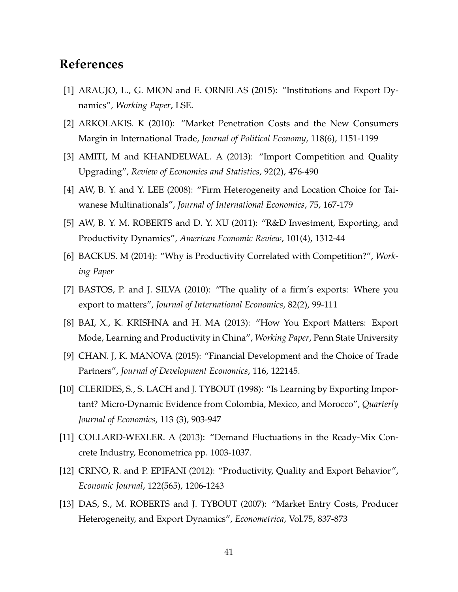# **References**

- [1] ARAUJO, L., G. MION and E. ORNELAS (2015): "Institutions and Export Dynamics", *Working Paper*, LSE.
- [2] ARKOLAKIS. K (2010): "Market Penetration Costs and the New Consumers Margin in International Trade, *Journal of Political Economy*, 118(6), 1151-1199
- [3] AMITI, M and KHANDELWAL. A (2013): "Import Competition and Quality Upgrading", *Review of Economics and Statistics*, 92(2), 476-490
- [4] AW, B. Y. and Y. LEE (2008): "Firm Heterogeneity and Location Choice for Taiwanese Multinationals", *Journal of International Economics*, 75, 167-179
- [5] AW, B. Y. M. ROBERTS and D. Y. XU (2011): "R&D Investment, Exporting, and Productivity Dynamics", *American Economic Review*, 101(4), 1312-44
- [6] BACKUS. M (2014): "Why is Productivity Correlated with Competition?", *Working Paper*
- [7] BASTOS, P. and J. SILVA (2010): "The quality of a firm's exports: Where you export to matters", *Journal of International Economics*, 82(2), 99-111
- [8] BAI, X., K. KRISHNA and H. MA (2013): "How You Export Matters: Export Mode, Learning and Productivity in China", *Working Paper*, Penn State University
- [9] CHAN. J, K. MANOVA (2015): "Financial Development and the Choice of Trade Partners", *Journal of Development Economics*, 116, 122145.
- [10] CLERIDES, S., S. LACH and J. TYBOUT (1998): "Is Learning by Exporting Important? Micro-Dynamic Evidence from Colombia, Mexico, and Morocco", *Quarterly Journal of Economics*, 113 (3), 903-947
- [11] COLLARD-WEXLER. A (2013): "Demand Fluctuations in the Ready-Mix Concrete Industry, Econometrica pp. 1003-1037.
- [12] CRINO, R. and P. EPIFANI (2012): "Productivity, Quality and Export Behavior", *Economic Journal*, 122(565), 1206-1243
- [13] DAS, S., M. ROBERTS and J. TYBOUT (2007): "Market Entry Costs, Producer Heterogeneity, and Export Dynamics", *Econometrica*, Vol.75, 837-873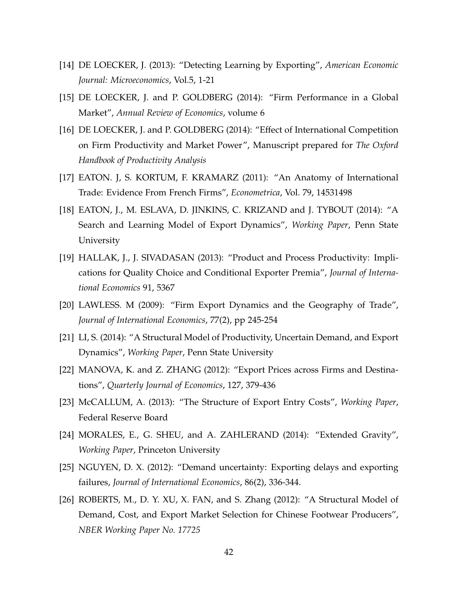- [14] DE LOECKER, J. (2013): "Detecting Learning by Exporting", *American Economic Journal: Microeconomics*, Vol.5, 1-21
- [15] DE LOECKER, J. and P. GOLDBERG (2014): "Firm Performance in a Global Market", *Annual Review of Economics*, volume 6
- [16] DE LOECKER, J. and P. GOLDBERG (2014): "Effect of International Competition on Firm Productivity and Market Power", Manuscript prepared for *The Oxford Handbook of Productivity Analysis*
- [17] EATON. J, S. KORTUM, F. KRAMARZ (2011): "An Anatomy of International Trade: Evidence From French Firms", *Econometrica*, Vol. 79, 14531498
- [18] EATON, J., M. ESLAVA, D. JINKINS, C. KRIZAND and J. TYBOUT (2014): "A Search and Learning Model of Export Dynamics", *Working Paper*, Penn State University
- [19] HALLAK, J., J. SIVADASAN (2013): "Product and Process Productivity: Implications for Quality Choice and Conditional Exporter Premia", *Journal of International Economics* 91, 5367
- [20] LAWLESS. M (2009): "Firm Export Dynamics and the Geography of Trade", *Journal of International Economics*, 77(2), pp 245-254
- [21] LI, S. (2014): "A Structural Model of Productivity, Uncertain Demand, and Export Dynamics", *Working Paper*, Penn State University
- [22] MANOVA, K. and Z. ZHANG (2012): "Export Prices across Firms and Destinations", *Quarterly Journal of Economics*, 127, 379-436
- [23] McCALLUM, A. (2013): "The Structure of Export Entry Costs", *Working Paper*, Federal Reserve Board
- [24] MORALES, E., G. SHEU, and A. ZAHLERAND (2014): "Extended Gravity", *Working Paper*, Princeton University
- [25] NGUYEN, D. X. (2012): "Demand uncertainty: Exporting delays and exporting failures, *Journal of International Economics*, 86(2), 336-344.
- [26] ROBERTS, M., D. Y. XU, X. FAN, and S. Zhang (2012): "A Structural Model of Demand, Cost, and Export Market Selection for Chinese Footwear Producers", *NBER Working Paper No. 17725*